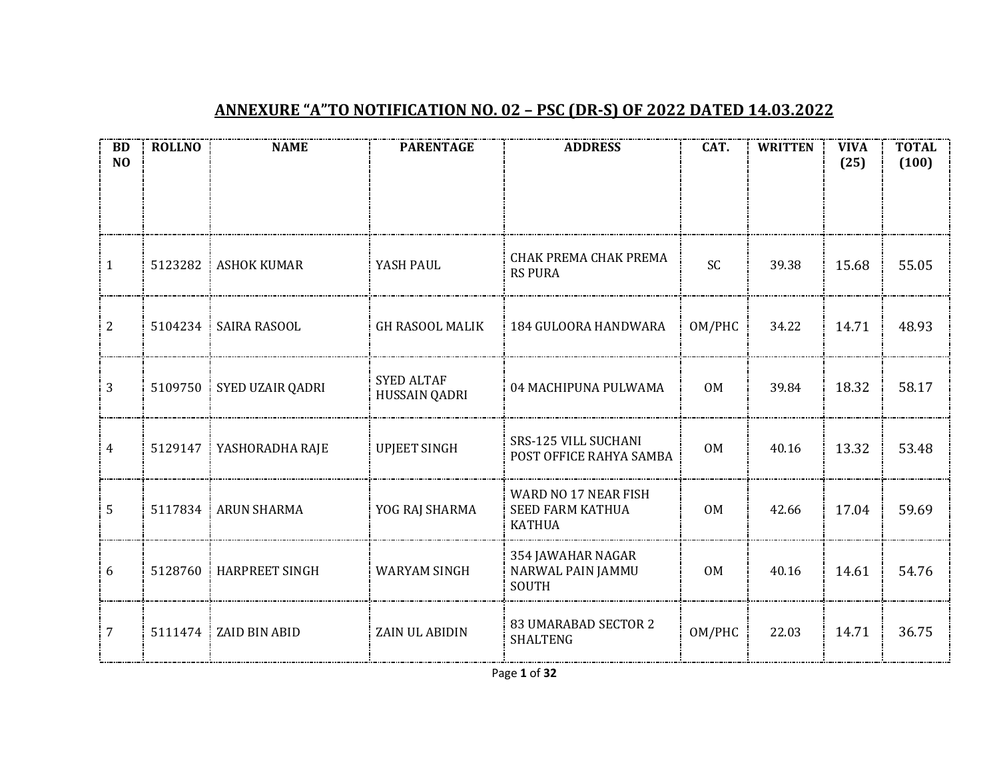## **ANNEXURE "A"TO NOTIFICATION NO. 02 – PSC (DR-S) OF 2022 DATED 14.03.2022**

| <b>BD</b><br>N <sub>O</sub> | <b>ROLLNO</b> | <b>NAME</b>              | <b>PARENTAGE</b>                   | <b>ADDRESS</b>                                                   | CAT.           | <b>WRITTEN</b> | <b>VIVA</b><br>(25) | <b>TOTAL</b><br>(100) |
|-----------------------------|---------------|--------------------------|------------------------------------|------------------------------------------------------------------|----------------|----------------|---------------------|-----------------------|
|                             |               |                          |                                    |                                                                  |                |                |                     |                       |
|                             |               |                          |                                    |                                                                  |                |                |                     |                       |
| $\mathbf{1}$                | 5123282       | <b>ASHOK KUMAR</b>       | YASH PAUL                          | CHAK PREMA CHAK PREMA<br><b>RS PURA</b>                          | <b>SC</b>      | 39.38          | 15.68               | 55.05                 |
| $\overline{2}$              |               | 5104234   SAIRA RASOOL   | <b>GH RASOOL MALIK</b>             | 184 GULOORA HANDWARA                                             | OM/PHC         | 34.22          | 14.71               | 48.93                 |
| $\overline{3}$              |               | 5109750 SYED UZAIR QADRI | <b>SYED ALTAF</b><br>HUSSAIN QADRI | 04 MACHIPUNA PULWAMA                                             | 0M             | 39.84          | 18.32               | 58.17                 |
| $\overline{4}$              | 5129147       | YASHORADHA RAJE          | <b>UPJEET SINGH</b>                | SRS-125 VILL SUCHANI<br>POST OFFICE RAHYA SAMBA                  | <b>OM</b>      | 40.16          | 13.32               | 53.48                 |
| 5                           | 5117834       | : ARUN SHARMA            | YOG RAJ SHARMA                     | WARD NO 17 NEAR FISH<br><b>SEED FARM KATHUA</b><br><b>KATHUA</b> | <b>OM</b>      | 42.66          | 17.04               | 59.69                 |
| 6                           | 5128760       | <b>HARPREET SINGH</b>    | <b>WARYAM SINGH</b>                | 354 JAWAHAR NAGAR<br>NARWAL PAIN JAMMU<br><b>SOUTH</b>           | 0 <sub>M</sub> | 40.16          | 14.61               | 54.76                 |
| 7                           | 5111474       | ZAID BIN ABID            | ZAIN UL ABIDIN                     | <b>83 UMARABAD SECTOR 2</b><br>SHALTENG                          | OM/PHC         | 22.03          | 14.71               | 36.75                 |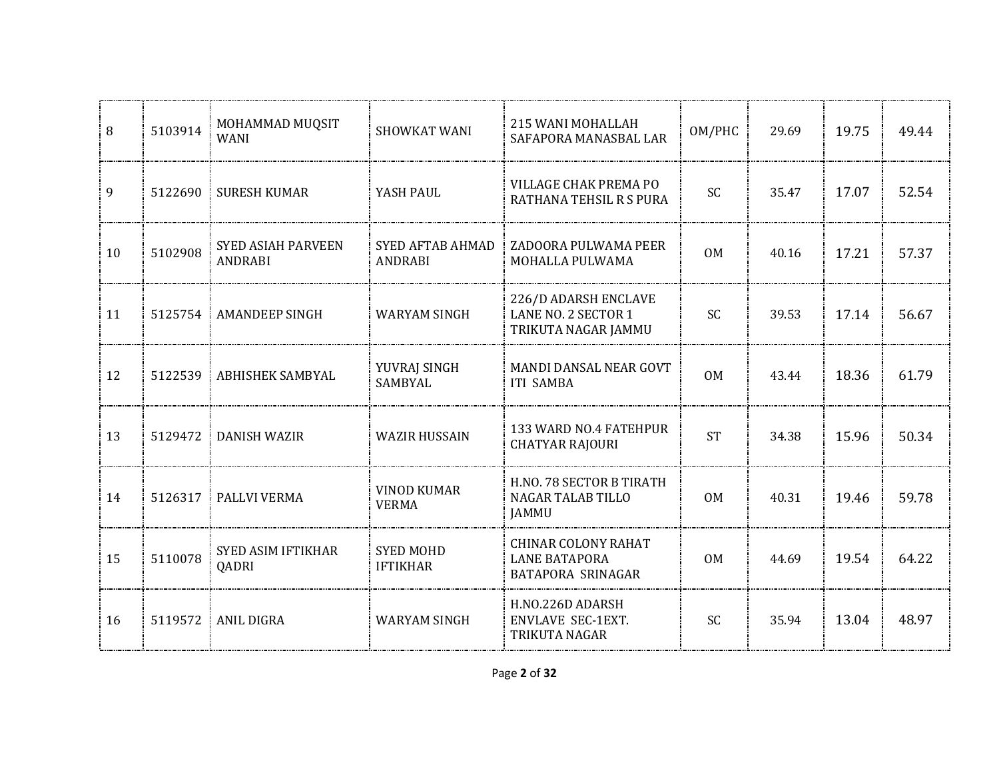| 8    | 5103914 | MOHAMMAD MUQSIT<br><b>WANI</b>       | SHOWKAT WANI                        | 215 WANI MOHALLAH<br>SAFAPORA MANASBAL LAR                                     | OM/PHC         | 29.69 | 19.75 | 49.44 |
|------|---------|--------------------------------------|-------------------------------------|--------------------------------------------------------------------------------|----------------|-------|-------|-------|
| 9    | 5122690 | <b>SURESH KUMAR</b>                  | YASH PAUL                           | VILLAGE CHAK PREMA PO<br>RATHANA TEHSIL R S PURA                               | <b>SC</b>      | 35.47 | 17.07 | 52.54 |
| 10   | 5102908 | <b>SYED ASIAH PARVEEN</b><br>ANDRABI | SYED AFTAB AHMAD<br>ANDRABI         | ZADOORA PULWAMA PEER<br>MOHALLA PULWAMA                                        | 0 <sub>M</sub> | 40.16 | 17.21 | 57.37 |
| : 11 |         | 5125754 AMANDEEP SINGH               | <b>WARYAM SINGH</b>                 | 226/D ADARSH ENCLAVE<br>LANE NO. 2 SECTOR 1<br>TRIKUTA NAGAR JAMMU             | <b>SC</b>      | 39.53 | 17.14 | 56.67 |
| 12   |         | 5122539   ABHISHEK SAMBYAL           | YUVRAJ SINGH<br>SAMBYAL             | MANDI DANSAL NEAR GOVT<br><b>ITI SAMBA</b>                                     | <b>OM</b>      | 43.44 | 18.36 | 61.79 |
| 13   | 5129472 | <b>DANISH WAZIR</b><br>-1            | <b>WAZIR HUSSAIN</b>                | 133 WARD NO.4 FATEHPUR<br><b>CHATYAR RAJOURI</b>                               | <b>ST</b>      | 34.38 | 15.96 | 50.34 |
| 14   | 5126317 | PALLVI VERMA                         | <b>VINOD KUMAR</b><br><b>VERMA</b>  | H.NO. 78 SECTOR B TIRATH<br><b>NAGAR TALAB TILLO</b><br><b>JAMMU</b>           | 0M             | 40.31 | 19.46 | 59.78 |
| 15   | 5110078 | <b>SYED ASIM IFTIKHAR</b><br>QADRI   | <b>SYED MOHD</b><br><b>IFTIKHAR</b> | <b>CHINAR COLONY RAHAT</b><br><b>LANE BATAPORA</b><br><b>BATAPORA SRINAGAR</b> | 0 <sub>M</sub> | 44.69 | 19.54 | 64.22 |
| 16   | 5119572 | ANIL DIGRA                           | <b>WARYAM SINGH</b>                 | H.NO.226D ADARSH<br><b>ENVLAVE SEC-1EXT.</b><br>TRIKUTA NAGAR                  | <b>SC</b>      | 35.94 | 13.04 | 48.97 |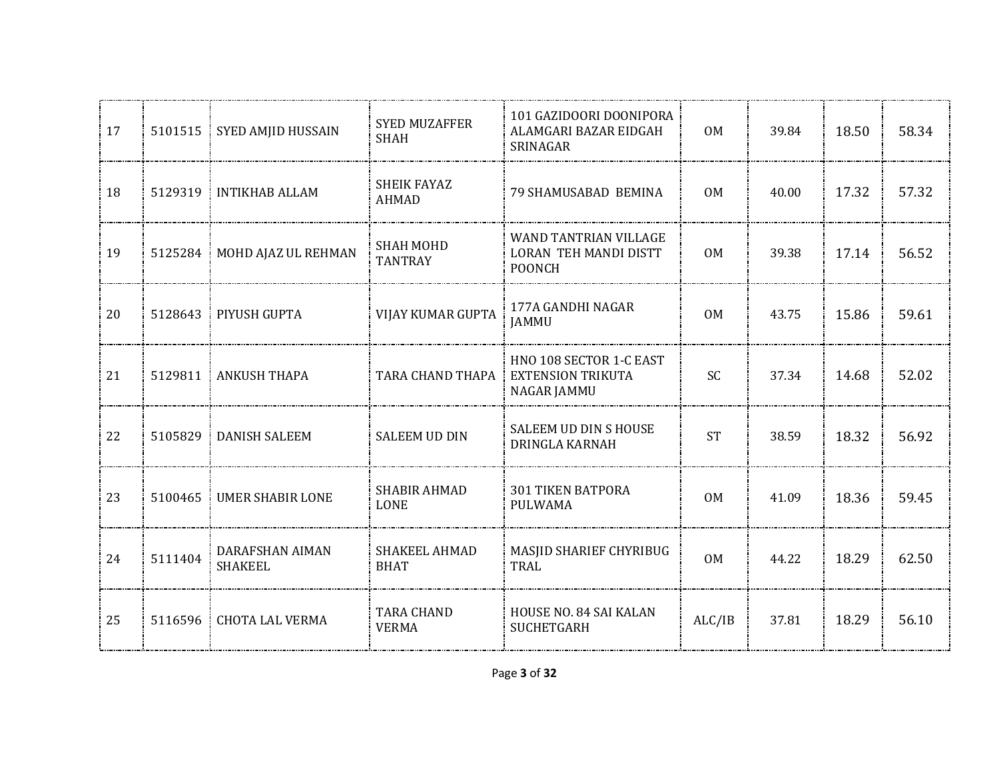| 17 | 5101515 | SYED AMJID HUSSAIN                | <b>SYED MUZAFFER</b><br><b>SHAH</b> | 101 GAZIDOORI DOONIPORA<br>ALAMGARI BAZAR EIDGAH<br>SRINAGAR           | 0M             | 39.84 | 18.50 | 58.34 |
|----|---------|-----------------------------------|-------------------------------------|------------------------------------------------------------------------|----------------|-------|-------|-------|
| 18 |         | 5129319 INTIKHAB ALLAM            | <b>SHEIK FAYAZ</b><br><b>AHMAD</b>  | 79 SHAMUSABAD BEMINA                                                   | 0 <sub>M</sub> | 40.00 | 17.32 | 57.32 |
| 19 | 5125284 | MOHD AJAZ UL REHMAN               | <b>SHAH MOHD</b><br><b>TANTRAY</b>  | WAND TANTRIAN VILLAGE<br><b>LORAN TEH MANDI DISTT</b><br><b>POONCH</b> | 0M             | 39.38 | 17.14 | 56.52 |
| 20 |         | 5128643   PIYUSH GUPTA            | VIJAY KUMAR GUPTA                   | 177A GANDHI NAGAR<br><b>JAMMU</b>                                      | 0 <sub>M</sub> | 43.75 | 15.86 | 59.61 |
| 21 |         | 5129811 ANKUSH THAPA              | TARA CHAND THAPA                    | HNO 108 SECTOR 1-C EAST<br><b>EXTENSION TRIKUTA</b><br>NAGAR JAMMU     | SC             | 37.34 | 14.68 | 52.02 |
| 22 | 5105829 | <b>DANISH SALEEM</b>              | <b>SALEEM UD DIN</b>                | SALEEM UD DIN S HOUSE<br><b>DRINGLA KARNAH</b>                         | <b>ST</b>      | 38.59 | 18.32 | 56.92 |
| 23 | 5100465 | <b>UMER SHABIR LONE</b>           | <b>SHABIR AHMAD</b><br>LONE         | <b>301 TIKEN BATPORA</b><br><b>PULWAMA</b>                             | <b>OM</b>      | 41.09 | 18.36 | 59.45 |
| 24 | 5111404 | DARAFSHAN AIMAN<br><b>SHAKEEL</b> | SHAKEEL AHMAD<br><b>BHAT</b>        | MASJID SHARIEF CHYRIBUG<br>TRAL                                        | 0 <sub>M</sub> | 44.22 | 18.29 | 62.50 |
| 25 |         | 5116596 CHOTA LAL VERMA           | <b>TARA CHAND</b><br><b>VERMA</b>   | <b>HOUSE NO. 84 SAI KALAN</b><br><b>SUCHETGARH</b>                     | ALC/IB         | 37.81 | 18.29 | 56.10 |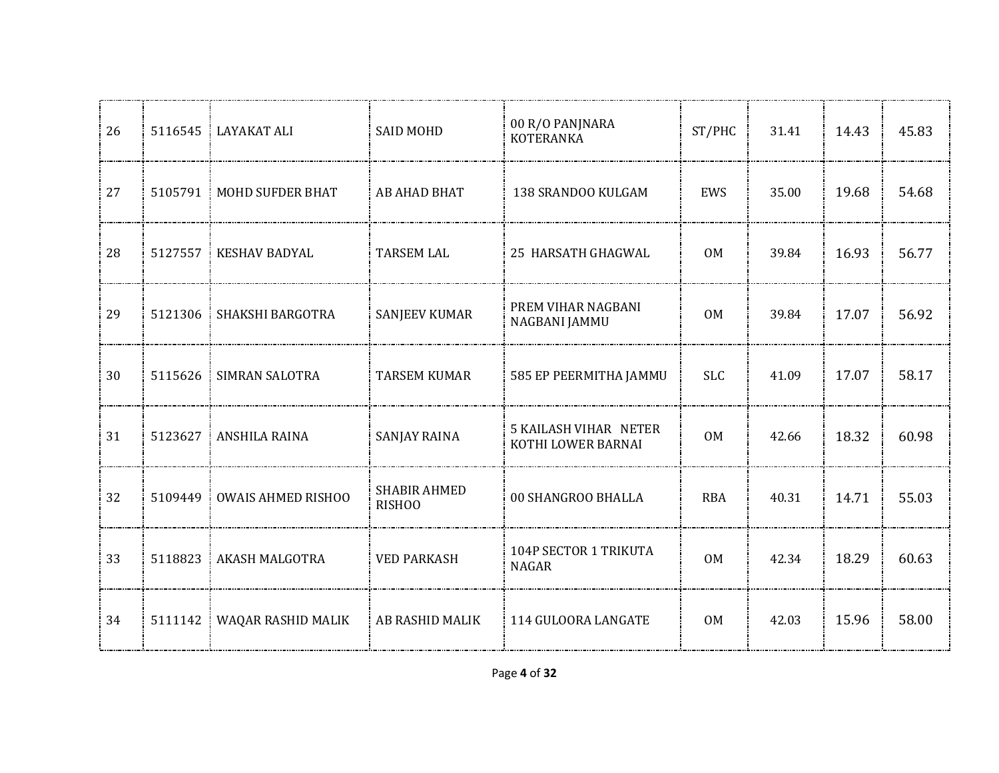| 26 | 5116545 | <b>LAYAKAT ALI</b>        | <b>SAID MOHD</b>              | 00 R/O PANJNARA<br><b>KOTERANKA</b>                | ST/PHC         | 31.41 | 14.43 | 45.83 |
|----|---------|---------------------------|-------------------------------|----------------------------------------------------|----------------|-------|-------|-------|
| 27 |         | 5105791 MOHD SUFDER BHAT  | AB AHAD BHAT                  | 138 SRANDOO KULGAM                                 | EWS            | 35.00 | 19.68 | 54.68 |
| 28 | 5127557 | <b>KESHAV BADYAL</b>      | <b>TARSEM LAL</b>             | 25 HARSATH GHAGWAL                                 | 0M             | 39.84 | 16.93 | 56.77 |
| 29 | 5121306 | SHAKSHI BARGOTRA          | <b>SANJEEV KUMAR</b>          | PREM VIHAR NAGBANI<br>NAGBANI JAMMU                | 0 <sub>M</sub> | 39.84 | 17.07 | 56.92 |
| 30 | 5115626 | SIMRAN SALOTRA            | <b>TARSEM KUMAR</b>           | 585 EP PEERMITHA JAMMU                             | <b>SLC</b>     | 41.09 | 17.07 | 58.17 |
| 31 | 5123627 | ANSHILA RAINA             | <b>SANJAY RAINA</b>           | <b>5 KAILASH VIHAR NETER</b><br>KOTHI LOWER BARNAI | <b>OM</b>      | 42.66 | 18.32 | 60.98 |
| 32 | 5109449 | <b>OWAIS AHMED RISHOO</b> | <b>SHABIR AHMED</b><br>RISHOO | 00 SHANGROO BHALLA                                 | <b>RBA</b>     | 40.31 | 14.71 | 55.03 |
| 33 | 5118823 | <b>AKASH MALGOTRA</b>     | <b>VED PARKASH</b>            | 104P SECTOR 1 TRIKUTA<br><b>NAGAR</b>              | 0 <sub>M</sub> | 42.34 | 18.29 | 60.63 |
| 34 | 5111142 | WAQAR RASHID MALIK        | AB RASHID MALIK               | 114 GULOORA LANGATE                                | <b>OM</b>      | 42.03 | 15.96 | 58.00 |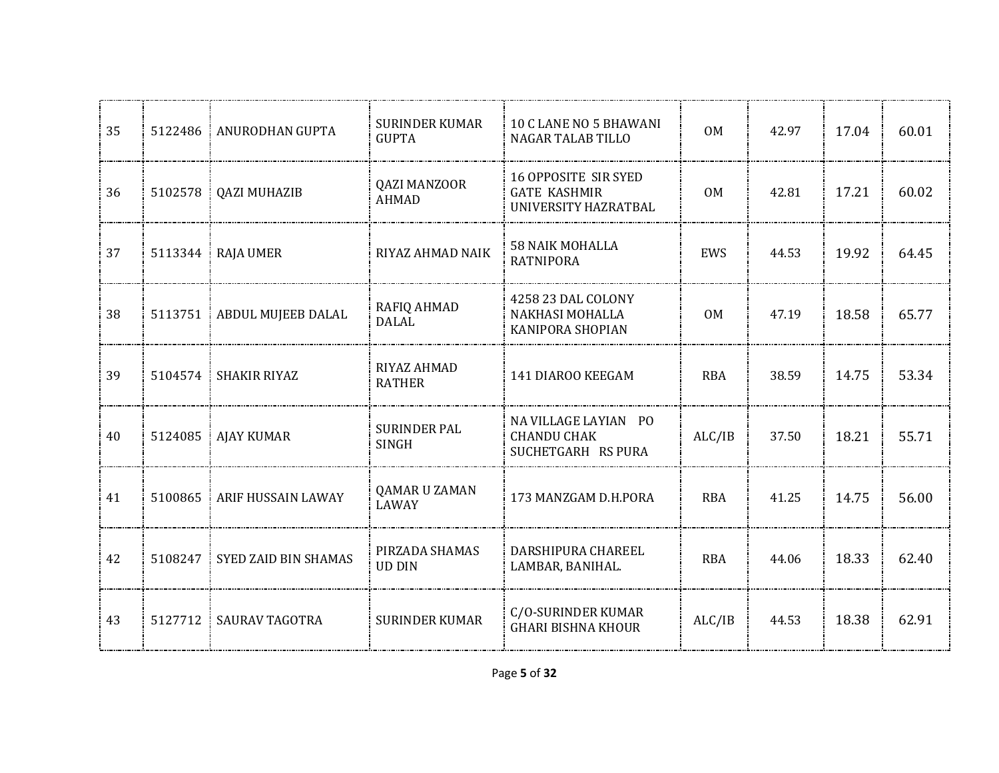| 35 | 5122486 | ANURODHAN GUPTA       | <b>SURINDER KUMAR</b><br><b>GUPTA</b> | 10 C LANE NO 5 BHAWANI<br><b>NAGAR TALAB TILLO</b>                         | 0 <sub>M</sub> | 42.97 | 17.04 | 60.01 |
|----|---------|-----------------------|---------------------------------------|----------------------------------------------------------------------------|----------------|-------|-------|-------|
| 36 | 5102578 | <b>QAZI MUHAZIB</b>   | <b>QAZI MANZOOR</b><br><b>AHMAD</b>   | <b>16 OPPOSITE SIR SYED</b><br><b>GATE KASHMIR</b><br>UNIVERSITY HAZRATBAL | 0 <sub>M</sub> | 42.81 | 17.21 | 60.02 |
| 37 | 5113344 | <b>RAJA UMER</b>      | RIYAZ AHMAD NAIK                      | <b>58 NAIK MOHALLA</b><br><b>RATNIPORA</b>                                 | EWS            | 44.53 | 19.92 | 64.45 |
| 38 | 5113751 | ABDUL MUJEEB DALAL    | RAFIQ AHMAD<br>DALAL                  | 4258 23 DAL COLONY<br>NAKHASI MOHALLA<br>KANIPORA SHOPIAN                  | 0 <sub>M</sub> | 47.19 | 18.58 | 65.77 |
| 39 | 5104574 | <b>SHAKIR RIYAZ</b>   | RIYAZ AHMAD<br><b>RATHER</b>          | 141 DIAROO KEEGAM                                                          | <b>RBA</b>     | 38.59 | 14.75 | 53.34 |
| 40 | 5124085 | <b>AJAY KUMAR</b>     | <b>SURINDER PAL</b><br><b>SINGH</b>   | NA VILLAGE LAYIAN PO<br><b>CHANDU CHAK</b><br>SUCHETGARH RS PURA           | ALC/IB         | 37.50 | 18.21 | 55.71 |
| 41 | 5100865 | ARIF HUSSAIN LAWAY    | QAMAR U ZAMAN<br><b>LAWAY</b>         | 173 MANZGAM D.H.PORA                                                       | <b>RBA</b>     | 41.25 | 14.75 | 56.00 |
| 42 | 5108247 | SYED ZAID BIN SHAMAS  | PIRZADA SHAMAS<br><b>UD DIN</b>       | DARSHIPURA CHAREEL<br>LAMBAR, BANIHAL.                                     | <b>RBA</b>     | 44.06 | 18.33 | 62.40 |
| 43 | 5127712 | <b>SAURAV TAGOTRA</b> | <b>SURINDER KUMAR</b>                 | C/O-SURINDER KUMAR<br><b>GHARI BISHNA KHOUR</b>                            | ALC/IB         | 44.53 | 18.38 | 62.91 |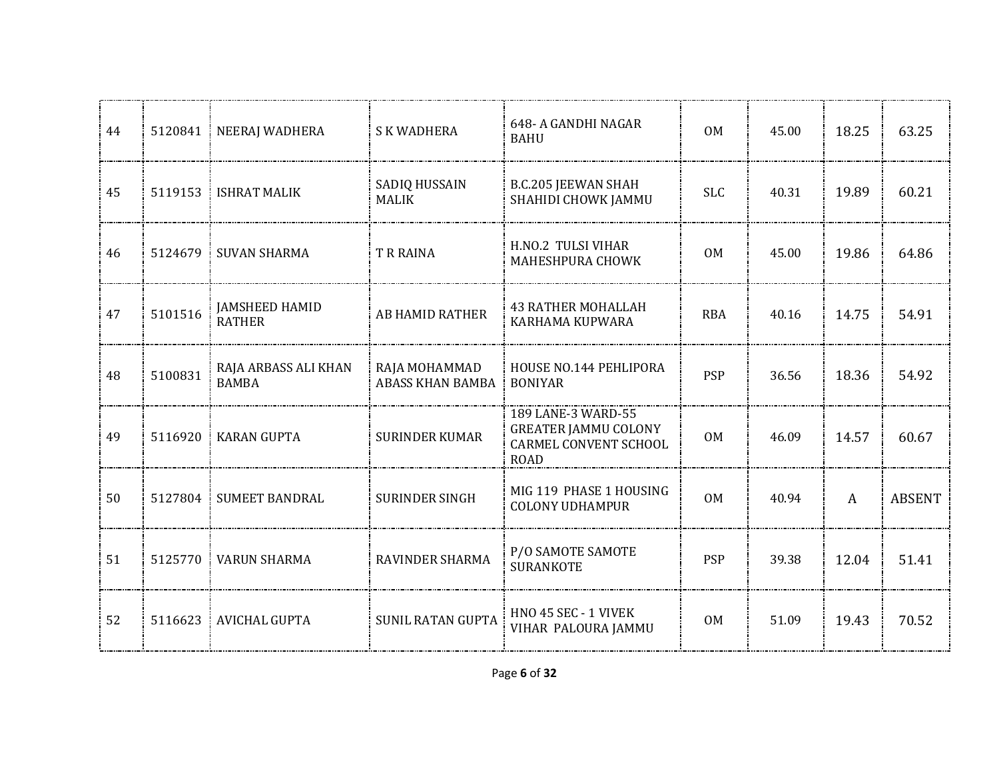| 44 | 5120841 | NEERAJ WADHERA                         | <b>SK WADHERA</b>                        | 648-A GANDHI NAGAR<br><b>BAHU</b>                                                                | 0 <sub>M</sub> | 45.00 | 18.25 | 63.25         |
|----|---------|----------------------------------------|------------------------------------------|--------------------------------------------------------------------------------------------------|----------------|-------|-------|---------------|
| 45 | 5119153 | <b>ISHRAT MALIK</b>                    | SADIQ HUSSAIN<br><b>MALIK</b>            | <b>B.C.205 JEEWAN SHAH</b><br>SHAHIDI CHOWK JAMMU                                                | <b>SLC</b>     | 40.31 | 19.89 | 60.21         |
| 46 | 5124679 | <b>SUVAN SHARMA</b>                    | T R RAINA                                | H.NO.2 TULSI VIHAR<br>MAHESHPURA CHOWK                                                           | 0M             | 45.00 | 19.86 | 64.86         |
| 47 | 5101516 | <b>JAMSHEED HAMID</b><br><b>RATHER</b> | <b>AB HAMID RATHER</b>                   | <b>43 RATHER MOHALLAH</b><br>KARHAMA KUPWARA                                                     | <b>RBA</b>     | 40.16 | 14.75 | 54.91         |
| 48 | 5100831 | RAJA ARBASS ALI KHAN<br><b>BAMBA</b>   | RAJA MOHAMMAD<br><b>ABASS KHAN BAMBA</b> | HOUSE NO.144 PEHLIPORA<br><b>BONIYAR</b>                                                         | <b>PSP</b>     | 36.56 | 18.36 | 54.92         |
| 49 | 5116920 | <b>KARAN GUPTA</b>                     | <b>SURINDER KUMAR</b>                    | 189 LANE-3 WARD-55<br><b>GREATER JAMMU COLONY</b><br><b>CARMEL CONVENT SCHOOL</b><br><b>ROAD</b> | 0M             | 46.09 | 14.57 | 60.67         |
| 50 | 5127804 | <b>SUMEET BANDRAL</b>                  | <b>SURINDER SINGH</b>                    | MIG 119 PHASE 1 HOUSING<br><b>COLONY UDHAMPUR</b>                                                | 0 <sub>M</sub> | 40.94 | A     | <b>ABSENT</b> |
| 51 | 5125770 | <b>VARUN SHARMA</b>                    | <b>RAVINDER SHARMA</b>                   | P/O SAMOTE SAMOTE<br><b>SURANKOTE</b>                                                            | <b>PSP</b>     | 39.38 | 12.04 | 51.41         |
| 52 |         | 5116623 AVICHAL GUPTA                  | <b>SUNIL RATAN GUPTA</b>                 | HNO 45 SEC - 1 VIVEK<br>VIHAR PALOURA JAMMU                                                      | 0M             | 51.09 | 19.43 | 70.52         |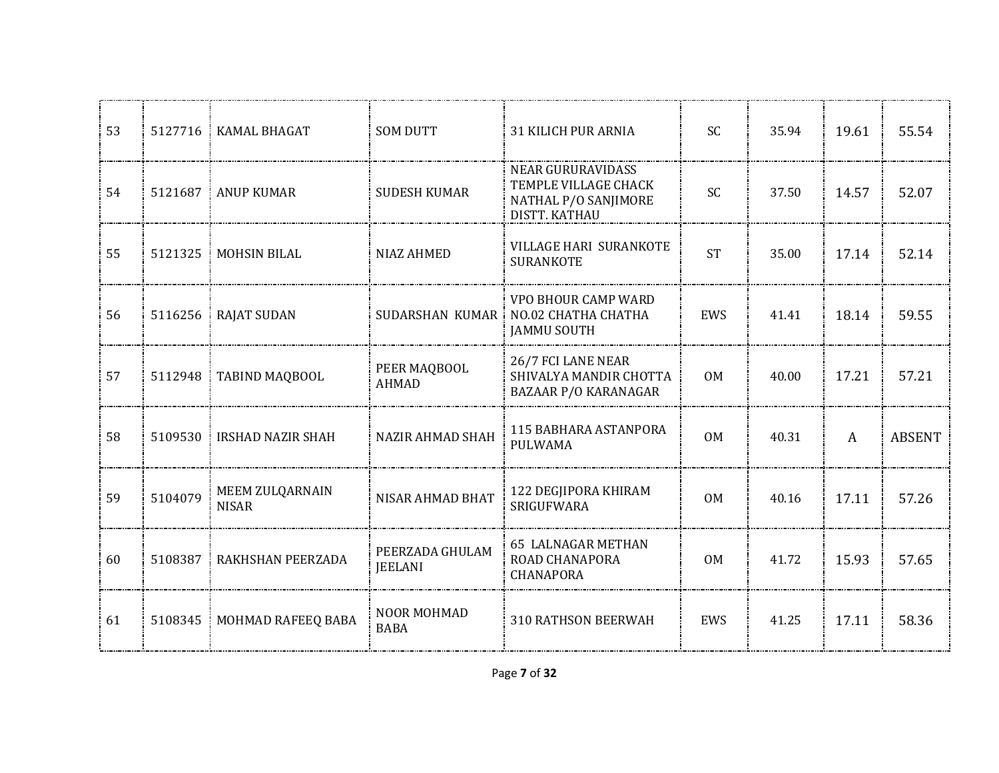| 53 | 5127716 | <b>KAMAL BHAGAT</b>             | <b>SOM DUTT</b>                   | <b>31 KILICH PUR ARNIA</b>                                                                | <b>SC</b>      | 35.94 | 19.61 | 55.54         |
|----|---------|---------------------------------|-----------------------------------|-------------------------------------------------------------------------------------------|----------------|-------|-------|---------------|
| 54 | 5121687 | <b>ANUP KUMAR</b>               | <b>SUDESH KUMAR</b>               | <b>NEAR GURURAVIDASS</b><br>TEMPLE VILLAGE CHACK<br>NATHAL P/O SANJIMORE<br>DISTT. KATHAU | SC             | 37.50 | 14.57 | 52.07         |
| 55 | 5121325 | <b>MOHSIN BILAL</b>             | <b>NIAZ AHMED</b>                 | <b>VILLAGE HARI SURANKOTE</b><br><b>SURANKOTE</b>                                         | <b>ST</b>      | 35.00 | 17.14 | 52.14         |
| 56 | 5116256 | <b>RAJAT SUDAN</b>              |                                   | VPO BHOUR CAMP WARD<br>SUDARSHAN KUMAR   NO.02 CHATHA CHATHA<br><b>JAMMU SOUTH</b>        | EWS            | 41.41 | 18.14 | 59.55         |
| 57 | 5112948 | TABIND MAQBOOL                  | PEER MAQBOOL<br><b>AHMAD</b>      | 26/7 FCI LANE NEAR<br>SHIVALYA MANDIR CHOTTA<br><b>BAZAAR P/O KARANAGAR</b>               | 0M             | 40.00 | 17.21 | 57.21         |
| 58 | 5109530 | <b>IRSHAD NAZIR SHAH</b>        | <b>NAZIR AHMAD SHAH</b>           | 115 BABHARA ASTANPORA<br><b>PULWAMA</b>                                                   | <b>OM</b>      | 40.31 | A     | <b>ABSENT</b> |
| 59 | 5104079 | MEEM ZULQARNAIN<br><b>NISAR</b> | NISAR AHMAD BHAT                  | 122 DEGJIPORA KHIRAM<br><b>SRIGUFWARA</b>                                                 | 0 <sub>M</sub> | 40.16 | 17.11 | 57.26         |
| 60 | 5108387 | RAKHSHAN PEERZADA               | PEERZADA GHULAM<br><b>JEELANI</b> | <b>65 LALNAGAR METHAN</b><br>ROAD CHANAPORA<br><b>CHANAPORA</b>                           | 0 <sub>M</sub> | 41.72 | 15.93 | 57.65         |
| 61 | 5108345 | MOHMAD RAFEEQ BABA              | NOOR MOHMAD<br><b>BABA</b>        | 310 RATHSON BEERWAH                                                                       | EWS            | 41.25 | 17.11 | 58.36         |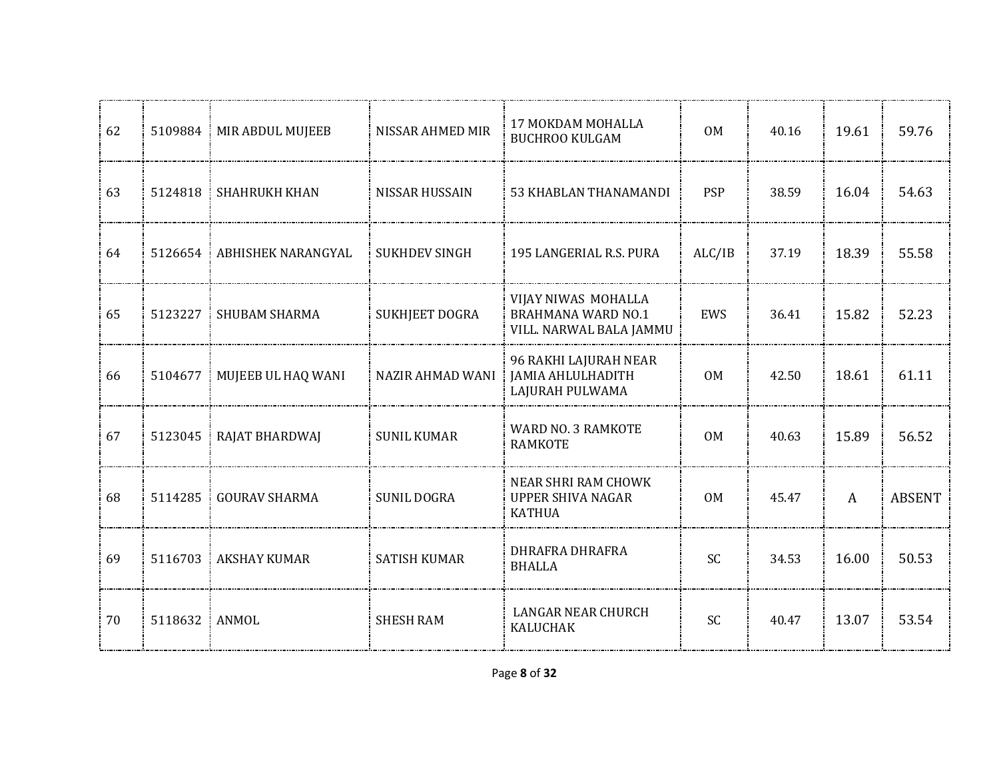| 62 |               | 5109884   MIR ABDUL MUJEEB   | NISSAR AHMED MIR     | 17 MOKDAM MOHALLA<br><b>BUCHROO KULGAM</b>                                  | 0 <sub>M</sub> | 40.16 | 19.61        | 59.76         |
|----|---------------|------------------------------|----------------------|-----------------------------------------------------------------------------|----------------|-------|--------------|---------------|
| 63 |               | 5124818 SHAHRUKH KHAN        | NISSAR HUSSAIN       | 53 KHABLAN THANAMANDI                                                       | <b>PSP</b>     | 38.59 | 16.04        | 54.63         |
| 64 |               | 5126654 ABHISHEK NARANGYAL   | <b>SUKHDEV SINGH</b> | 195 LANGERIAL R.S. PURA                                                     | ALC/IB         | 37.19 | 18.39        | 55.58         |
| 65 | 5123227       | <b>SHUBAM SHARMA</b>         | SUKHJEET DOGRA       | VIJAY NIWAS MOHALLA<br><b>BRAHMANA WARD NO.1</b><br>VILL. NARWAL BALA JAMMU | EWS            | 36.41 | 15.82        | 52.23         |
| 66 |               | 5104677   MUJEEB UL HAQ WANI | NAZIR AHMAD WANI     | 96 RAKHI LAJURAH NEAR<br><b>JAMIA AHLULHADITH</b><br>LAJURAH PULWAMA        | 0M             | 42.50 | 18.61        | 61.11         |
| 67 | 5123045       | RAJAT BHARDWAJ<br>÷          | <b>SUNIL KUMAR</b>   | WARD NO. 3 RAMKOTE<br><b>RAMKOTE</b>                                        | 0 <sub>M</sub> | 40.63 | 15.89        | 56.52         |
| 68 | 5114285       | <b>GOURAV SHARMA</b><br>÷    | <b>SUNIL DOGRA</b>   | NEAR SHRI RAM CHOWK<br><b>UPPER SHIVA NAGAR</b><br><b>KATHUA</b>            | <b>OM</b>      | 45.47 | $\mathbf{A}$ | <b>ABSENT</b> |
| 69 | 5116703       | <b>AKSHAY KUMAR</b>          | <b>SATISH KUMAR</b>  | DHRAFRA DHRAFRA<br><b>BHALLA</b>                                            | <b>SC</b>      | 34.53 | 16.00        | 50.53         |
| 70 | 5118632 ANMOL |                              | <b>SHESH RAM</b>     | <b>LANGAR NEAR CHURCH</b><br><b>KALUCHAK</b>                                | <b>SC</b>      | 40.47 | 13.07        | 53.54         |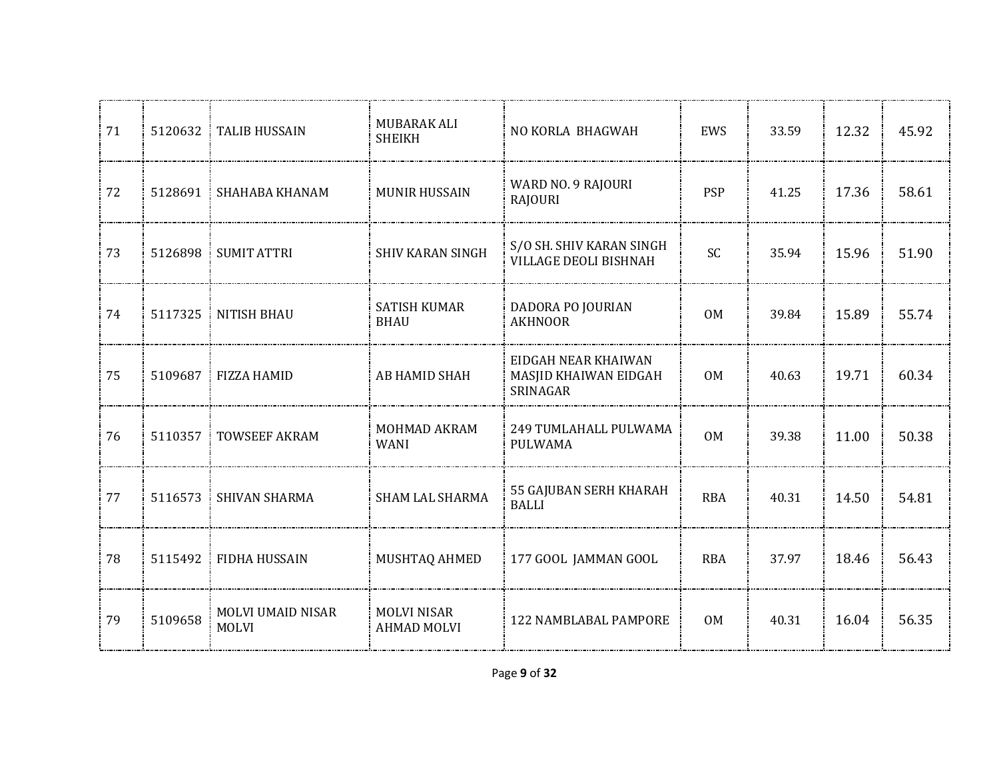| 71 | 5120632   | <b>TALIB HUSSAIN</b>                     | MUBARAK ALI<br><b>SHEIKH</b>             | NO KORLA BHAGWAH                                         | EWS            | 33.59 | 12.32 | 45.92 |
|----|-----------|------------------------------------------|------------------------------------------|----------------------------------------------------------|----------------|-------|-------|-------|
| 72 |           | 5128691 SHAHABA KHANAM                   | <b>MUNIR HUSSAIN</b>                     | WARD NO. 9 RAJOURI<br><b>RAJOURI</b>                     | <b>PSP</b>     | 41.25 | 17.36 | 58.61 |
| 73 | 5126898   | <b>SUMIT ATTRI</b>                       | <b>SHIV KARAN SINGH</b>                  | S/O SH. SHIV KARAN SINGH<br>VILLAGE DEOLI BISHNAH        | <b>SC</b>      | 35.94 | 15.96 | 51.90 |
| 74 | 5117325   | NITISH BHAU                              | <b>SATISH KUMAR</b><br><b>BHAU</b>       | DADORA PO JOURIAN<br><b>AKHNOOR</b>                      | 0 <sub>M</sub> | 39.84 | 15.89 | 55.74 |
| 75 | 5109687   | <b>FIZZA HAMID</b>                       | AB HAMID SHAH                            | EIDGAH NEAR KHAIWAN<br>MASJID KHAIWAN EIDGAH<br>SRINAGAR | 0M             | 40.63 | 19.71 | 60.34 |
| 76 | 5110357   | <b>TOWSEEF AKRAM</b>                     | MOHMAD AKRAM<br><b>WANI</b>              | 249 TUMLAHALL PULWAMA<br><b>PULWAMA</b>                  | <b>OM</b>      | 39.38 | 11.00 | 50.38 |
| 77 | 5116573   | SHIVAN SHARMA                            | SHAM LAL SHARMA                          | 55 GAJUBAN SERH KHARAH<br><b>BALLI</b>                   | <b>RBA</b>     | 40.31 | 14.50 | 54.81 |
| 78 | 5115492 : | <b>FIDHA HUSSAIN</b>                     | MUSHTAQ AHMED                            | 177 GOOL JAMMAN GOOL                                     | <b>RBA</b>     | 37.97 | 18.46 | 56.43 |
| 79 | 5109658   | <b>MOLVI UMAID NISAR</b><br><b>MOLVI</b> | <b>MOLVI NISAR</b><br><b>AHMAD MOLVI</b> | 122 NAMBLABAL PAMPORE                                    | 0M             | 40.31 | 16.04 | 56.35 |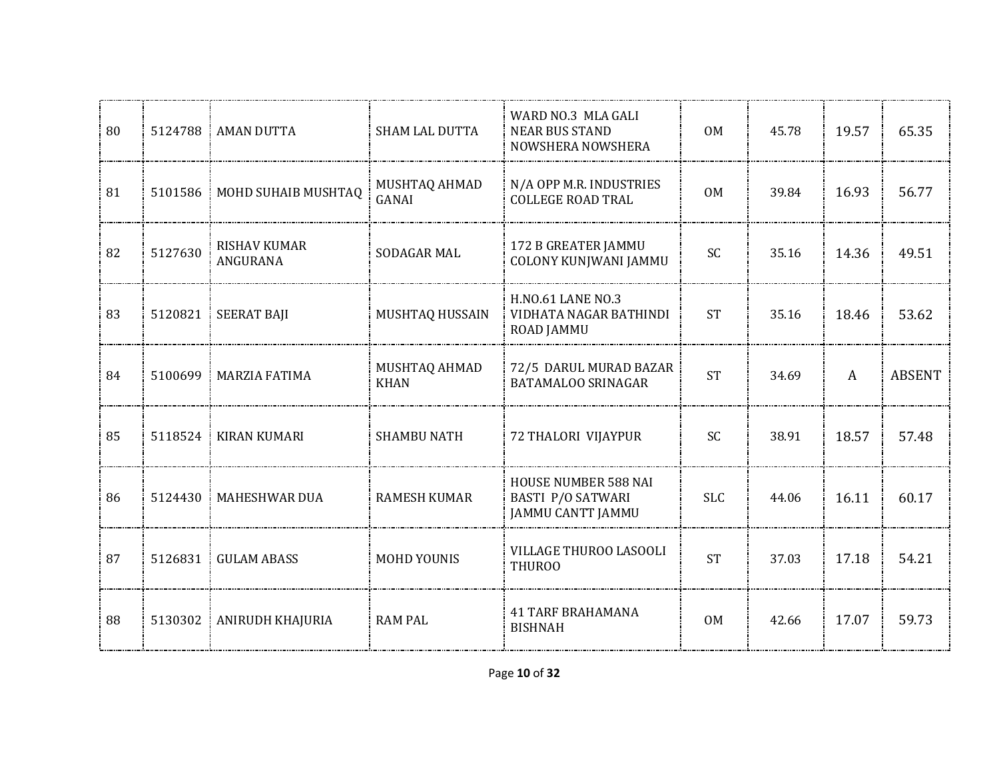| 80 | 5124788 | : AMAN DUTTA                    | <b>SHAM LAL DUTTA</b>        | WARD NO.3 MLA GALI<br><b>NEAR BUS STAND</b><br>NOWSHERA NOWSHERA                    | 0 <sub>M</sub> | 45.78 | 19.57 | 65.35         |
|----|---------|---------------------------------|------------------------------|-------------------------------------------------------------------------------------|----------------|-------|-------|---------------|
| 81 | 5101586 | MOHD SUHAIB MUSHTAQ             | MUSHTAQ AHMAD<br>GANAI       | N/A OPP M.R. INDUSTRIES<br><b>COLLEGE ROAD TRAL</b>                                 | 0 <sub>M</sub> | 39.84 | 16.93 | 56.77         |
| 82 | 5127630 | <b>RISHAV KUMAR</b><br>ANGURANA | SODAGAR MAL                  | 172 B GREATER JAMMU<br><b>COLONY KUNJWANI JAMMU</b>                                 | SC             | 35.16 | 14.36 | 49.51         |
| 83 | 5120821 | <b>SEERAT BAJI</b>              | MUSHTAQ HUSSAIN              | <b>H.NO.61 LANE NO.3</b><br>VIDHATA NAGAR BATHINDI<br><b>ROAD JAMMU</b>             | <b>ST</b>      | 35.16 | 18.46 | 53.62         |
| 84 |         | 5100699   MARZIA FATIMA         | MUSHTAQ AHMAD<br><b>KHAN</b> | 72/5 DARUL MURAD BAZAR<br><b>BATAMALOO SRINAGAR</b>                                 | <b>ST</b>      | 34.69 | A     | <b>ABSENT</b> |
| 85 | 5118524 | <b>KIRAN KUMARI</b>             | <b>SHAMBU NATH</b>           | 72 THALORI VIJAYPUR                                                                 | SC             | 38.91 | 18.57 | 57.48         |
| 86 | 5124430 | <b>MAHESHWAR DUA</b>            | <b>RAMESH KUMAR</b>          | <b>HOUSE NUMBER 588 NAI</b><br><b>BASTI P/O SATWARI</b><br><b>JAMMU CANTT JAMMU</b> | <b>SLC</b>     | 44.06 | 16.11 | 60.17         |
| 87 | 5126831 | <b>GULAM ABASS</b>              | <b>MOHD YOUNIS</b>           | VILLAGE THUROO LASOOLI<br><b>THUROO</b>                                             | <b>ST</b>      | 37.03 | 17.18 | 54.21         |
| 88 | 5130302 | ANIRUDH KHAJURIA                | <b>RAM PAL</b>               | <b>41 TARF BRAHAMANA</b><br><b>BISHNAH</b>                                          | 0M             | 42.66 | 17.07 | 59.73         |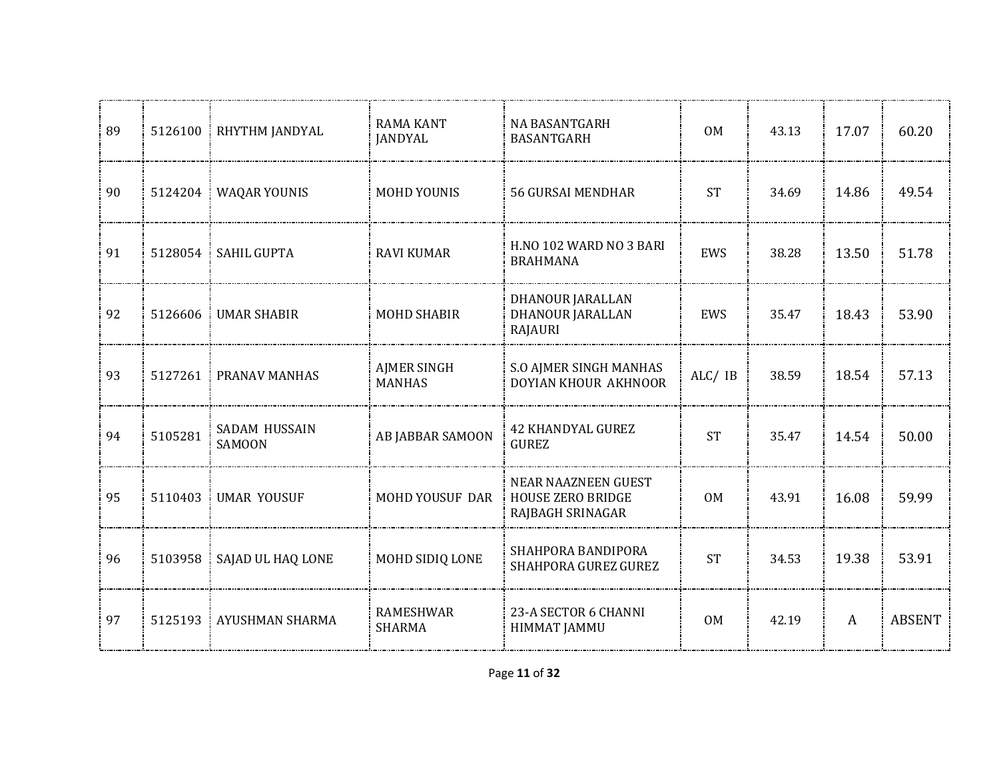| 89 | 5126100 | RHYTHM JANDYAL                 | <b>RAMA KANT</b><br><b>JANDYAL</b>  | <b>NA BASANTGARH</b><br>BASANTGARH                                         | 0 <sub>M</sub> | 43.13 | 17.07        | 60.20         |
|----|---------|--------------------------------|-------------------------------------|----------------------------------------------------------------------------|----------------|-------|--------------|---------------|
| 90 | 5124204 | <b>WAQAR YOUNIS</b>            | <b>MOHD YOUNIS</b>                  | <b>56 GURSAI MENDHAR</b>                                                   | <b>ST</b>      | 34.69 | 14.86        | 49.54         |
| 91 | 5128054 | <b>SAHIL GUPTA</b>             | <b>RAVI KUMAR</b>                   | H.NO 102 WARD NO 3 BARI<br><b>BRAHMANA</b>                                 | EWS            | 38.28 | 13.50        | 51.78         |
| 92 | 5126606 | <b>UMAR SHABIR</b>             | <b>MOHD SHABIR</b>                  | DHANOUR JARALLAN<br>DHANOUR JARALLAN<br>RAJAURI                            | EWS            | 35.47 | 18.43        | 53.90         |
| 93 | 5127261 | PRANAV MANHAS                  | <b>AJMER SINGH</b><br><b>MANHAS</b> | <b>S.O AJMER SINGH MANHAS</b><br>DOYIAN KHOUR AKHNOOR                      | ALC/ IB        | 38.59 | 18.54        | 57.13         |
| 94 | 5105281 | SADAM HUSSAIN<br><b>SAMOON</b> | AB JABBAR SAMOON                    | <b>42 KHANDYAL GUREZ</b><br><b>GUREZ</b>                                   | <b>ST</b>      | 35.47 | 14.54        | 50.00         |
| 95 | 5110403 | <b>UMAR YOUSUF</b>             | MOHD YOUSUF DAR                     | <b>NEAR NAAZNEEN GUEST</b><br><b>HOUSE ZERO BRIDGE</b><br>RAJBAGH SRINAGAR | <b>OM</b>      | 43.91 | 16.08        | 59.99         |
| 96 | 5103958 | SAJAD UL HAQ LONE              | MOHD SIDIQ LONE                     | SHAHPORA BANDIPORA<br>SHAHPORA GUREZ GUREZ                                 | <b>ST</b>      | 34.53 | 19.38        | 53.91         |
| 97 | 5125193 | AYUSHMAN SHARMA                | RAMESHWAR<br><b>SHARMA</b>          | 23-A SECTOR 6 CHANNI<br><b>HIMMAT JAMMU</b>                                | <b>OM</b>      | 42.19 | $\mathbf{A}$ | <b>ABSENT</b> |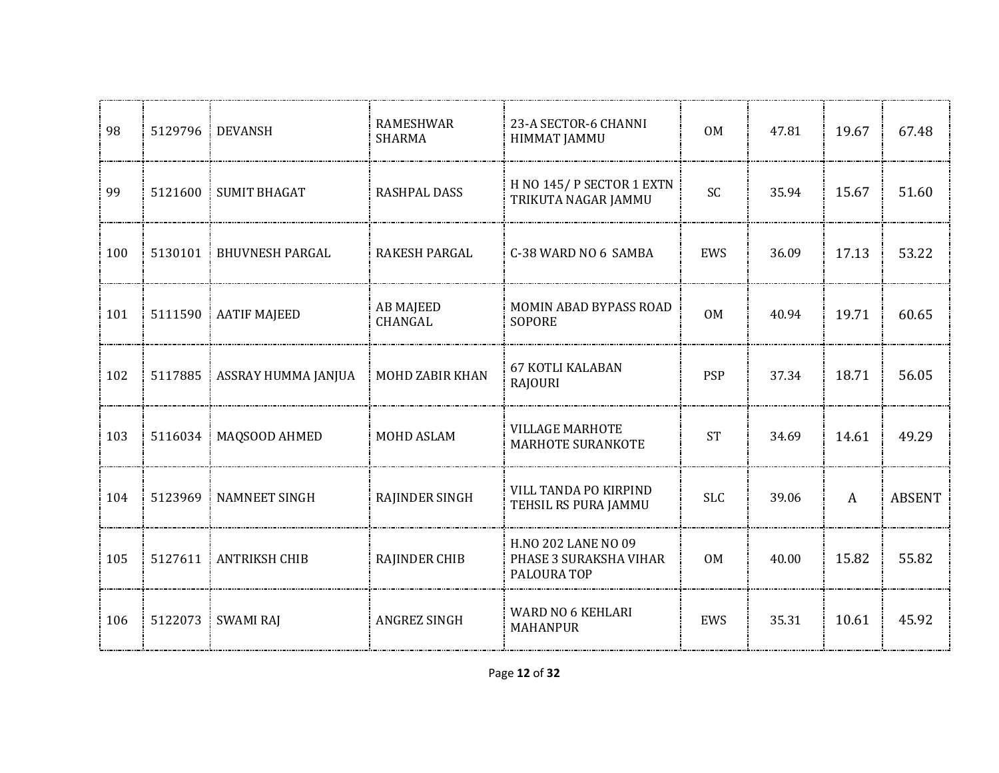| 98  | 5129796 | <b>DEVANSH</b>         | <b>RAMESHWAR</b><br><b>SHARMA</b> | 23-A SECTOR-6 CHANNI<br><b>HIMMAT JAMMU</b>                         | 0 <sub>M</sub> | 47.81 | 19.67        | 67.48         |
|-----|---------|------------------------|-----------------------------------|---------------------------------------------------------------------|----------------|-------|--------------|---------------|
| 99  | 5121600 | <b>SUMIT BHAGAT</b>    | <b>RASHPAL DASS</b>               | H NO 145/P SECTOR 1 EXTN<br>TRIKUTA NAGAR JAMMU                     | SC             | 35.94 | 15.67        | 51.60         |
| 100 | 5130101 | <b>BHUVNESH PARGAL</b> | <b>RAKESH PARGAL</b>              | C-38 WARD NO 6 SAMBA                                                | EWS            | 36.09 | 17.13        | 53.22         |
| 101 | 5111590 | <b>AATIF MAJEED</b>    | <b>AB MAJEED</b><br>CHANGAL       | MOMIN ABAD BYPASS ROAD<br><b>SOPORE</b>                             | 0 <sub>M</sub> | 40.94 | 19.71        | 60.65         |
| 102 | 5117885 | ASSRAY HUMMA JANJUA    | MOHD ZABIR KHAN                   | <b>67 KOTLI KALABAN</b><br><b>RAJOURI</b>                           | <b>PSP</b>     | 37.34 | 18.71        | 56.05         |
| 103 | 5116034 | MAQSOOD AHMED          | MOHD ASLAM                        | <b>VILLAGE MARHOTE</b><br><b>MARHOTE SURANKOTE</b>                  | <b>ST</b>      | 34.69 | 14.61        | 49.29         |
| 104 | 5123969 | <b>NAMNEET SINGH</b>   | <b>RAJINDER SINGH</b>             | VILL TANDA PO KIRPIND<br>TEHSIL RS PURA JAMMU                       | <b>SLC</b>     | 39.06 | $\mathbf{A}$ | <b>ABSENT</b> |
| 105 | 5127611 | <b>ANTRIKSH CHIB</b>   | <b>RAJINDER CHIB</b>              | <b>H.NO 202 LANE NO 09</b><br>PHASE 3 SURAKSHA VIHAR<br>PALOURA TOP | 0 <sub>M</sub> | 40.00 | 15.82        | 55.82         |
| 106 | 5122073 | <b>SWAMI RAJ</b>       | ANGREZ SINGH                      | <b>WARD NO 6 KEHLARI</b><br><b>MAHANPUR</b>                         | EWS            | 35.31 | 10.61        | 45.92         |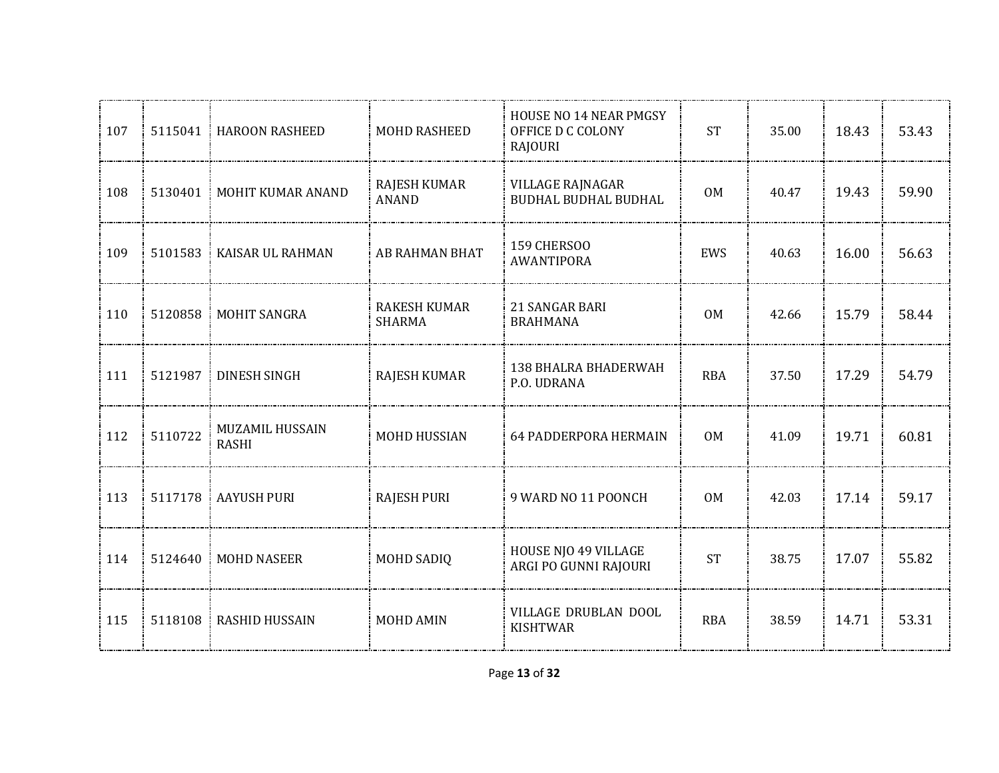| 107   |         | 5115041 HAROON RASHEED          | MOHD RASHEED                         | <b>HOUSE NO 14 NEAR PMGSY</b><br>OFFICE D C COLONY<br>RAJOURI | <b>ST</b>      | 35.00 | 18.43 | 53.43 |
|-------|---------|---------------------------------|--------------------------------------|---------------------------------------------------------------|----------------|-------|-------|-------|
| 108   |         | 5130401   MOHIT KUMAR ANAND     | <b>RAJESH KUMAR</b><br><b>ANAND</b>  | <b>VILLAGE RAJNAGAR</b><br>BUDHAL BUDHAL BUDHAL               | <b>OM</b>      | 40.47 | 19.43 | 59.90 |
| 109   |         | 5101583 KAISAR UL RAHMAN        | AB RAHMAN BHAT                       | 159 CHERSOO<br>AWANTIPORA                                     | EWS            | 40.63 | 16.00 | 56.63 |
| 110   |         | 5120858   MOHIT SANGRA          | <b>RAKESH KUMAR</b><br><b>SHARMA</b> | 21 SANGAR BARI<br><b>BRAHMANA</b>                             | 0 <sub>M</sub> | 42.66 | 15.79 | 58.44 |
| 111   |         | 5121987   DINESH SINGH          | <b>RAJESH KUMAR</b>                  | 138 BHALRA BHADERWAH<br>P.O. UDRANA                           | <b>RBA</b>     | 37.50 | 17.29 | 54.79 |
| 112   | 5110722 | MUZAMIL HUSSAIN<br><b>RASHI</b> | MOHD HUSSIAN                         | <b>64 PADDERPORA HERMAIN</b>                                  | 0 <sub>M</sub> | 41.09 | 19.71 | 60.81 |
| 113   | 5117178 | AAYUSH PURI                     | <b>RAJESH PURI</b>                   | 9 WARD NO 11 POONCH                                           | <b>OM</b>      | 42.03 | 17.14 | 59.17 |
| 114   | 5124640 | <b>MOHD NASEER</b>              | <b>MOHD SADIQ</b>                    | <b>HOUSE NJO 49 VILLAGE</b><br>ARGI PO GUNNI RAJOURI          | <b>ST</b>      | 38.75 | 17.07 | 55.82 |
| : 115 | 5118108 | <b>RASHID HUSSAIN</b>           | <b>MOHD AMIN</b>                     | VILLAGE DRUBLAN DOOL<br><b>KISHTWAR</b>                       | <b>RBA</b>     | 38.59 | 14.71 | 53.31 |
|       |         |                                 |                                      |                                                               |                |       |       |       |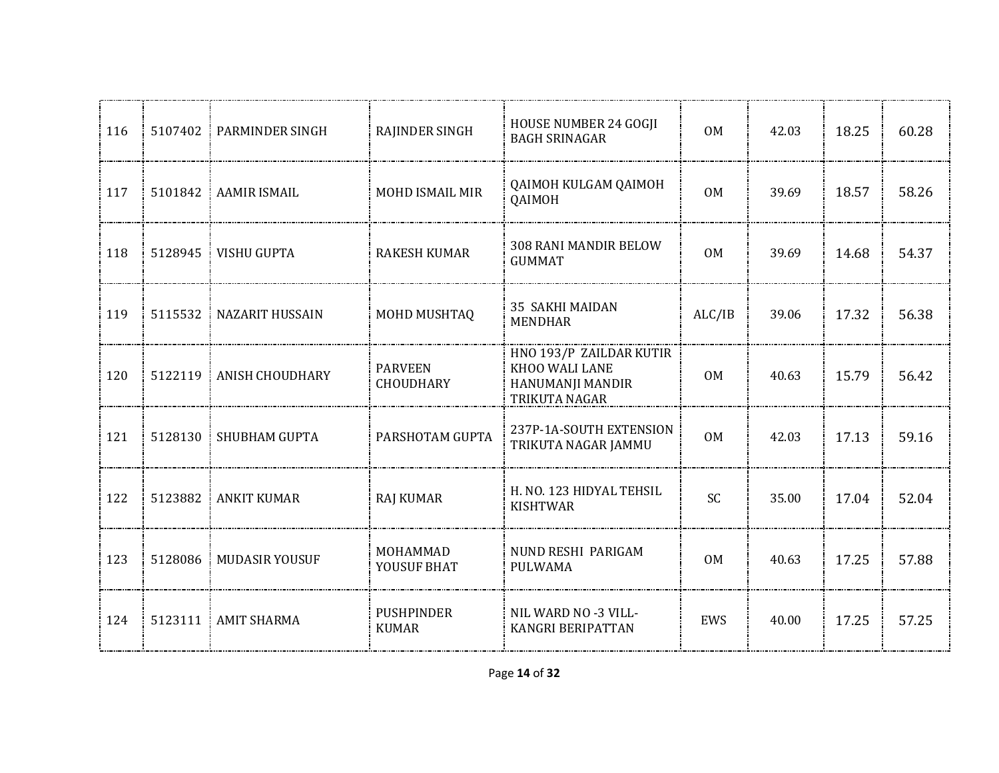| 116 | 5107402 | PARMINDER SINGH        | RAJINDER SINGH                     | HOUSE NUMBER 24 GOGJI<br><b>BAGH SRINAGAR</b>                                  | <b>OM</b>      | 42.03 | 18.25 | 60.28 |
|-----|---------|------------------------|------------------------------------|--------------------------------------------------------------------------------|----------------|-------|-------|-------|
| 117 | 5101842 | AAMIR ISMAIL           | MOHD ISMAIL MIR                    | QAIMOH KULGAM QAIMOH<br>QAIMOH                                                 | <b>OM</b>      | 39.69 | 18.57 | 58.26 |
| 118 | 5128945 | <b>VISHU GUPTA</b>     | <b>RAKESH KUMAR</b>                | 308 RANI MANDIR BELOW<br><b>GUMMAT</b>                                         | 0 <sub>M</sub> | 39.69 | 14.68 | 54.37 |
| 119 | 5115532 | NAZARIT HUSSAIN        | MOHD MUSHTAQ                       | <b>35 SAKHI MAIDAN</b><br><b>MENDHAR</b>                                       | ALC/IB         | 39.06 | 17.32 | 56.38 |
| 120 | 5122119 | <b>ANISH CHOUDHARY</b> | <b>PARVEEN</b><br><b>CHOUDHARY</b> | HNO 193/P ZAILDAR KUTIR<br>KHOO WALI LANE<br>HANUMANJI MANDIR<br>TRIKUTA NAGAR | 0M             | 40.63 | 15.79 | 56.42 |
| 121 | 5128130 | SHUBHAM GUPTA          | PARSHOTAM GUPTA                    | 237P-1A-SOUTH EXTENSION<br>TRIKUTA NAGAR JAMMU                                 | 0 <sub>M</sub> | 42.03 | 17.13 | 59.16 |
| 122 | 5123882 | <b>ANKIT KUMAR</b>     | <b>RAJ KUMAR</b>                   | H. NO. 123 HIDYAL TEHSIL<br><b>KISHTWAR</b>                                    | <b>SC</b>      | 35.00 | 17.04 | 52.04 |
| 123 | 5128086 | <b>MUDASIR YOUSUF</b>  | MOHAMMAD<br>YOUSUF BHAT            | NUND RESHI PARIGAM<br>PULWAMA                                                  | <b>OM</b>      | 40.63 | 17.25 | 57.88 |
| 124 |         | 5123111 AMIT SHARMA    | <b>PUSHPINDER</b><br><b>KUMAR</b>  | NIL WARD NO -3 VILL-<br>KANGRI BERIPATTAN                                      | EWS            | 40.00 | 17.25 | 57.25 |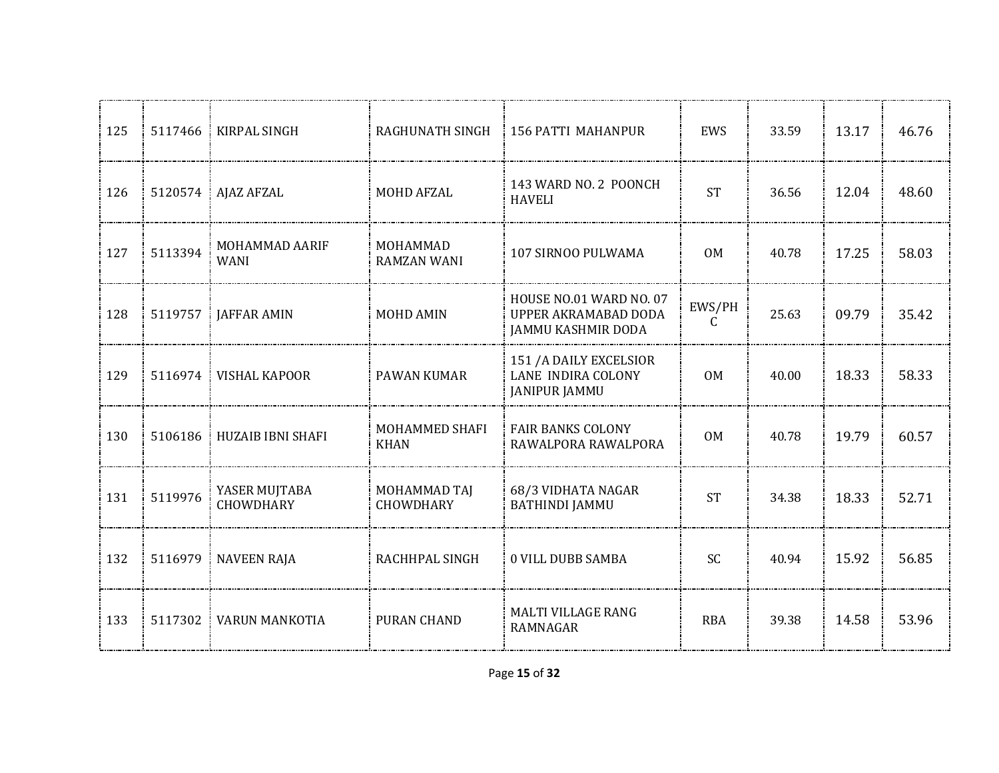| 125 | 5117466 | KIRPAL SINGH                      | RAGHUNATH SINGH                | <b>156 PATTI MAHANPUR</b>                                             | EWS        | 33.59 | 13.17 | 46.76 |
|-----|---------|-----------------------------------|--------------------------------|-----------------------------------------------------------------------|------------|-------|-------|-------|
| 126 |         | 5120574   AJAZ AFZAL              | MOHD AFZAL                     | 143 WARD NO. 2 POONCH<br><b>HAVELI</b>                                | <b>ST</b>  | 36.56 | 12.04 | 48.60 |
| 127 | 5113394 | MOHAMMAD AARIF<br><b>WANI</b>     | MOHAMMAD<br><b>RAMZAN WANI</b> | 107 SIRNOO PULWAMA                                                    | 0M         | 40.78 | 17.25 | 58.03 |
| 128 | 5119757 | <b>JAFFAR AMIN</b>                | <b>MOHD AMIN</b>               | HOUSE NO.01 WARD NO. 07<br>UPPER AKRAMABAD DODA<br>JAMMU KASHMIR DODA | EWS/PH     | 25.63 | 09.79 | 35.42 |
| 129 |         | 5116974   VISHAL KAPOOR           | <b>PAWAN KUMAR</b>             | 151 / A DAILY EXCELSIOR<br>LANE INDIRA COLONY<br><b>JANIPUR JAMMU</b> | <b>OM</b>  | 40.00 | 18.33 | 58.33 |
| 130 | 5106186 | <b>HUZAIB IBNI SHAFI</b>          | MOHAMMED SHAFI<br><b>KHAN</b>  | <b>FAIR BANKS COLONY</b><br>RAWALPORA RAWALPORA                       | <b>OM</b>  | 40.78 | 19.79 | 60.57 |
| 131 | 5119976 | YASER MUJTABA<br><b>CHOWDHARY</b> | MOHAMMAD TAJ<br>CHOWDHARY      | 68/3 VIDHATA NAGAR<br><b>BATHINDI JAMMU</b>                           | <b>ST</b>  | 34.38 | 18.33 | 52.71 |
| 132 | 5116979 | <b>NAVEEN RAJA</b>                | RACHHPAL SINGH                 | <b>0 VILL DUBB SAMBA</b>                                              | SC         | 40.94 | 15.92 | 56.85 |
| 133 | 5117302 | <b>VARUN MANKOTIA</b>             | PURAN CHAND                    | <b>MALTI VILLAGE RANG</b><br><b>RAMNAGAR</b>                          | <b>RBA</b> | 39.38 | 14.58 | 53.96 |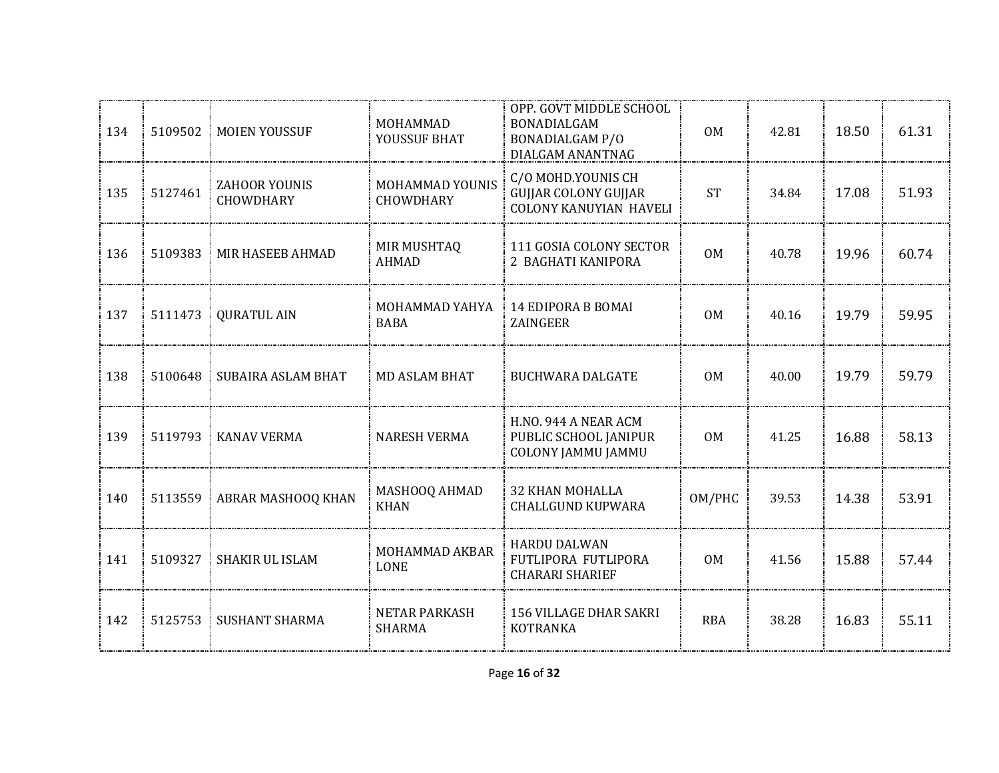| 134 | 5109502 | MOIEN YOUSSUF                     | MOHAMMAD<br>YOUSSUF BHAT              | OPP. GOVT MIDDLE SCHOOL<br>BONADIALGAM<br><b>BONADIALGAM P/O</b><br>DIALGAM ANANTNAG | <b>OM</b>      | 42.81 | 18.50 | 61.31 |
|-----|---------|-----------------------------------|---------------------------------------|--------------------------------------------------------------------------------------|----------------|-------|-------|-------|
| 135 | 5127461 | ZAHOOR YOUNIS<br><b>CHOWDHARY</b> | MOHAMMAD YOUNIS<br><b>CHOWDHARY</b>   | C/O MOHD.YOUNIS CH<br><b>GUJJAR COLONY GUJJAR</b><br><b>COLONY KANUYIAN HAVELI</b>   | <b>ST</b>      | 34.84 | 17.08 | 51.93 |
| 136 | 5109383 | MIR HASEEB AHMAD                  | MIR MUSHTAQ<br><b>AHMAD</b>           | 111 GOSIA COLONY SECTOR<br>2 BAGHATI KANIPORA                                        | 0 <sub>M</sub> | 40.78 | 19.96 | 60.74 |
| 137 | 5111473 | <b>QURATUL AIN</b>                | MOHAMMAD YAHYA<br><b>BABA</b>         | 14 EDIPORA B BOMAI<br>ZAINGEER                                                       | 0 <sub>M</sub> | 40.16 | 19.79 | 59.95 |
| 138 | 5100648 | SUBAIRA ASLAM BHAT                | <b>MD ASLAM BHAT</b>                  | <b>BUCHWARA DALGATE</b>                                                              | 0M             | 40.00 | 19.79 | 59.79 |
| 139 | 5119793 | <b>KANAV VERMA</b>                | <b>NARESH VERMA</b>                   | H.NO. 944 A NEAR ACM<br>PUBLIC SCHOOL JANIPUR<br><b>COLONY JAMMU JAMMU</b>           | 0M             | 41.25 | 16.88 | 58.13 |
| 140 | 5113559 | ABRAR MASHOOQ KHAN                | MASHOOQ AHMAD<br><b>KHAN</b>          | <b>32 KHAN MOHALLA</b><br><b>CHALLGUND KUPWARA</b>                                   | OM/PHC         | 39.53 | 14.38 | 53.91 |
| 141 | 5109327 | SHAKIR UL ISLAM                   | MOHAMMAD AKBAR<br><b>LONE</b>         | <b>HARDU DALWAN</b><br>FUTLIPORA FUTLIPORA<br><b>CHARARI SHARIEF</b>                 | <b>OM</b>      | 41.56 | 15.88 | 57.44 |
| 142 | 5125753 | <b>SUSHANT SHARMA</b>             | <b>NETAR PARKASH</b><br><b>SHARMA</b> | <b>156 VILLAGE DHAR SAKRI</b><br><b>KOTRANKA</b>                                     | <b>RBA</b>     | 38.28 | 16.83 | 55.11 |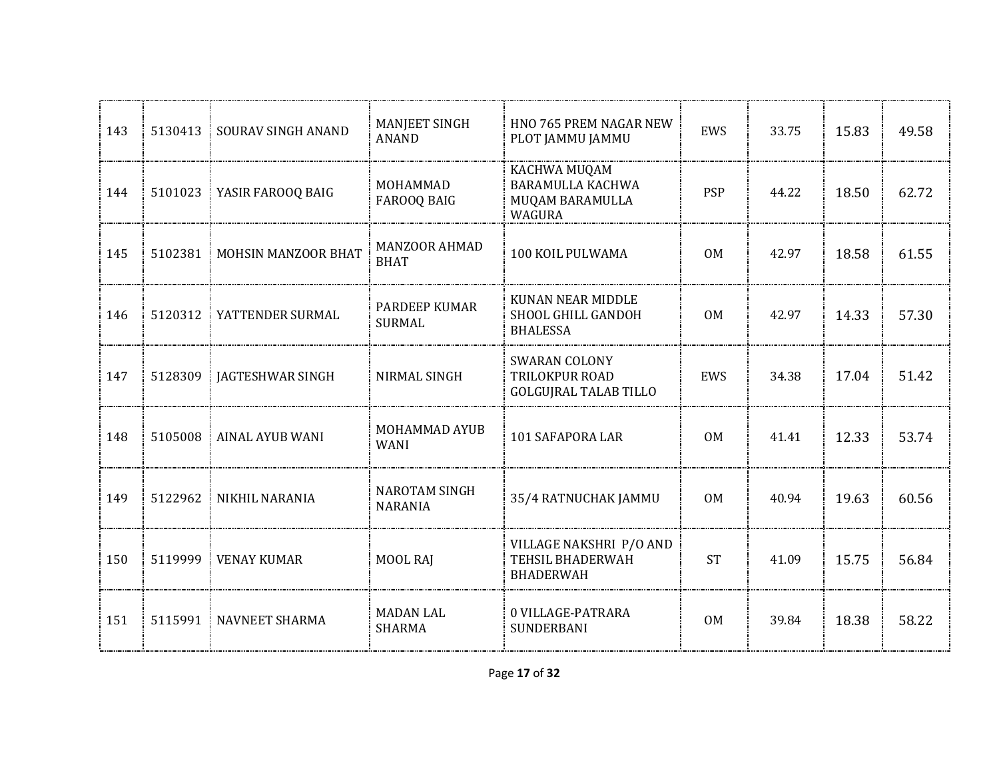| 143 | 5130413 | SOURAV SINGH ANAND     | MANJEET SINGH<br><b>ANAND</b>          | HNO 765 PREM NAGAR NEW<br>PLOT JAMMU JAMMU                             | EWS            | 33.75 | 15.83 | 49.58 |
|-----|---------|------------------------|----------------------------------------|------------------------------------------------------------------------|----------------|-------|-------|-------|
| 144 | 5101023 | YASIR FAROOQ BAIG      | MOHAMMAD<br>FAROOQ BAIG                | KACHWA MUQAM<br>BARAMULLA KACHWA<br>MUQAM BARAMULLA<br>WAGURA          | <b>PSP</b>     | 44.22 | 18.50 | 62.72 |
| 145 | 5102381 | MOHSIN MANZOOR BHAT    | <b>MANZOOR AHMAD</b><br><b>BHAT</b>    | 100 KOIL PULWAMA                                                       | 0M             | 42.97 | 18.58 | 61.55 |
| 146 | 5120312 | YATTENDER SURMAL       | <b>PARDEEP KUMAR</b><br><b>SURMAL</b>  | KUNAN NEAR MIDDLE<br>SHOOL GHILL GANDOH<br><b>BHALESSA</b>             | <b>OM</b>      | 42.97 | 14.33 | 57.30 |
| 147 | 5128309 | JAGTESHWAR SINGH       | NIRMAL SINGH                           | <b>SWARAN COLONY</b><br>TRILOKPUR ROAD<br><b>GOLGUJRAL TALAB TILLO</b> | EWS            | 34.38 | 17.04 | 51.42 |
| 148 | 5105008 | <b>AINAL AYUB WANI</b> | MOHAMMAD AYUB<br><b>WANI</b>           | 101 SAFAPORA LAR                                                       | 0 <sub>M</sub> | 41.41 | 12.33 | 53.74 |
| 149 | 5122962 | NIKHIL NARANIA         | <b>NAROTAM SINGH</b><br><b>NARANIA</b> | 35/4 RATNUCHAK JAMMU                                                   | 0 <sub>M</sub> | 40.94 | 19.63 | 60.56 |
| 150 | 5119999 | <b>VENAY KUMAR</b>     | MOOL RAJ                               | VILLAGE NAKSHRI P/O AND<br>TEHSIL BHADERWAH<br><b>BHADERWAH</b>        | <b>ST</b>      | 41.09 | 15.75 | 56.84 |
| 151 | 5115991 | <b>NAVNEET SHARMA</b>  | <b>MADAN LAL</b><br><b>SHARMA</b>      | 0 VILLAGE-PATRARA<br><b>SUNDERBANI</b>                                 | <b>OM</b>      | 39.84 | 18.38 | 58.22 |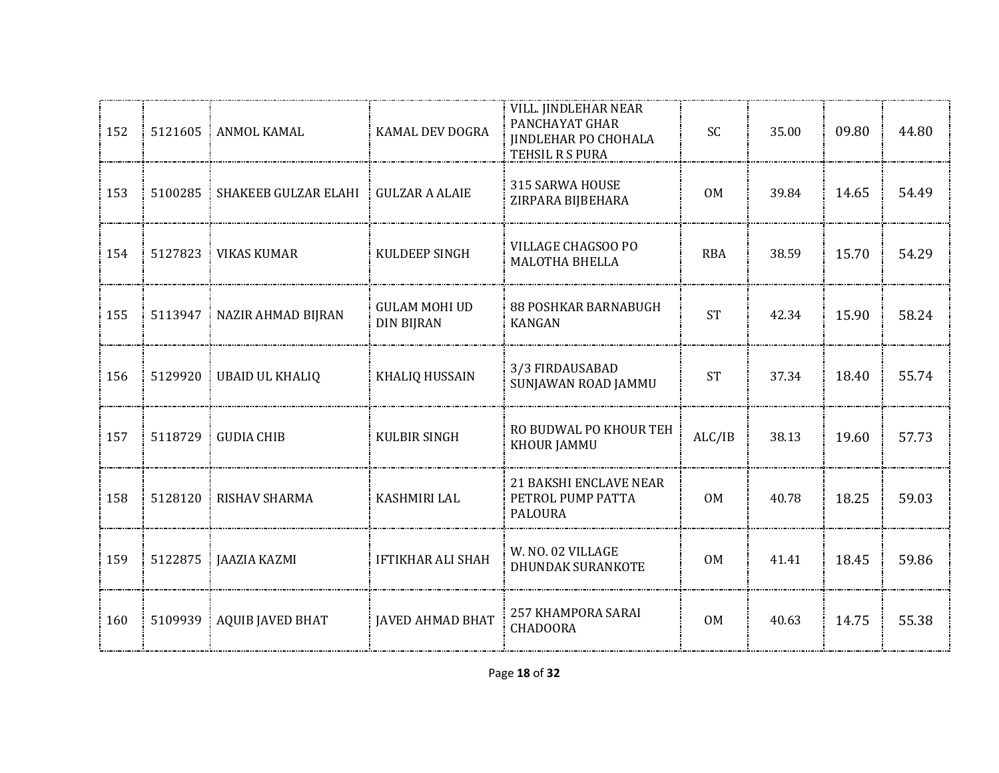| 152 | 5121605 | ANMOL KAMAL             | KAMAL DEV DOGRA                           | VILL. JINDLEHAR NEAR<br>PANCHAYAT GHAR<br><b>JINDLEHAR PO CHOHALA</b><br>TEHSIL R S PURA | SC         | 35.00 | 09.80 | 44.80 |
|-----|---------|-------------------------|-------------------------------------------|------------------------------------------------------------------------------------------|------------|-------|-------|-------|
| 153 | 5100285 | SHAKEEB GULZAR ELAHI    | <b>GULZAR A ALAIE</b>                     | 315 SARWA HOUSE<br>ZIRPARA BIJBEHARA                                                     | <b>OM</b>  | 39.84 | 14.65 | 54.49 |
| 154 | 5127823 | <b>VIKAS KUMAR</b>      | KULDEEP SINGH                             | VILLAGE CHAGSOO PO<br>MALOTHA BHELLA                                                     | <b>RBA</b> | 38.59 | 15.70 | 54.29 |
| 155 | 5113947 | NAZIR AHMAD BIJRAN      | <b>GULAM MOHI UD</b><br><b>DIN BIJRAN</b> | <b>88 POSHKAR BARNABUGH</b><br><b>KANGAN</b>                                             | <b>ST</b>  | 42.34 | 15.90 | 58.24 |
| 156 | 5129920 | <b>UBAID UL KHALIQ</b>  | <b>KHALIQ HUSSAIN</b>                     | 3/3 FIRDAUSABAD<br>SUNJAWAN ROAD JAMMU                                                   | <b>ST</b>  | 37.34 | 18.40 | 55.74 |
| 157 | 5118729 | <b>GUDIA CHIB</b>       | <b>KULBIR SINGH</b>                       | RO BUDWAL PO KHOUR TEH<br>KHOUR JAMMU                                                    | ALC/IB     | 38.13 | 19.60 | 57.73 |
| 158 | 5128120 | RISHAV SHARMA           | <b>KASHMIRI LAL</b>                       | <b>21 BAKSHI ENCLAVE NEAR</b><br>PETROL PUMP PATTA<br><b>PALOURA</b>                     | 0M         | 40.78 | 18.25 | 59.03 |
| 159 | 5122875 | JAAZIA KAZMI            | <b>IFTIKHAR ALI SHAH</b>                  | W. NO. 02 VILLAGE<br><b>DHUNDAK SURANKOTE</b>                                            | <b>OM</b>  | 41.41 | 18.45 | 59.86 |
| 160 | 5109939 | <b>AQUIB JAVED BHAT</b> | <b>JAVED AHMAD BHAT</b>                   | 257 KHAMPORA SARAI<br><b>CHADOORA</b>                                                    | <b>OM</b>  | 40.63 | 14.75 | 55.38 |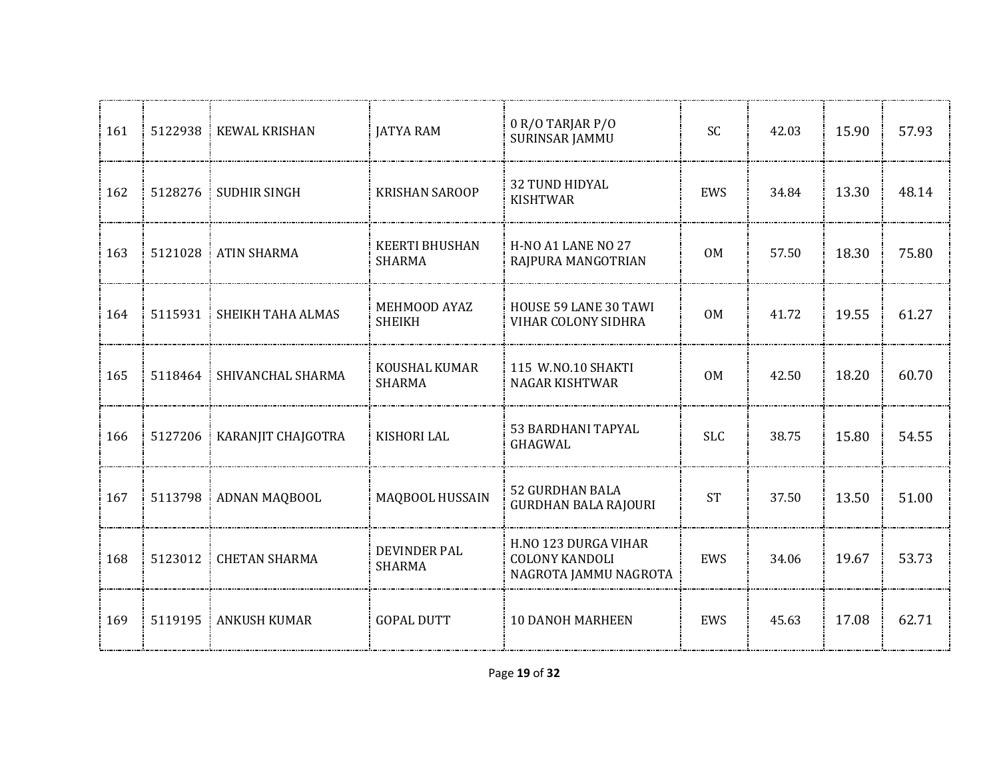| 161 | 5122938 | <b>KEWAL KRISHAN</b> | <b>JATYA RAM</b>                       | 0 R/O TARJAR P/O<br>SURINSAR JAMMU                                     | <b>SC</b>      | 42.03 | 15.90 | 57.93 |
|-----|---------|----------------------|----------------------------------------|------------------------------------------------------------------------|----------------|-------|-------|-------|
| 162 | 5128276 | <b>SUDHIR SINGH</b>  | <b>KRISHAN SAROOP</b>                  | 32 TUND HIDYAL<br><b>KISHTWAR</b>                                      | EWS            | 34.84 | 13.30 | 48.14 |
| 163 | 5121028 | <b>ATIN SHARMA</b>   | <b>KEERTI BHUSHAN</b><br><b>SHARMA</b> | H-NO A1 LANE NO 27<br>RAJPURA MANGOTRIAN                               | 0 <sub>M</sub> | 57.50 | 18.30 | 75.80 |
| 164 | 5115931 | SHEIKH TAHA ALMAS    | MEHMOOD AYAZ<br><b>SHEIKH</b>          | HOUSE 59 LANE 30 TAWI<br>VIHAR COLONY SIDHRA                           | 0 <sub>M</sub> | 41.72 | 19.55 | 61.27 |
| 165 | 5118464 | SHIVANCHAL SHARMA    | KOUSHAL KUMAR<br><b>SHARMA</b>         | 115 W.NO.10 SHAKTI<br><b>NAGAR KISHTWAR</b>                            | 0 <sub>M</sub> | 42.50 | 18.20 | 60.70 |
| 166 | 5127206 | KARANJIT CHAJGOTRA   | <b>KISHORI LAL</b>                     | 53 BARDHANI TAPYAL<br>GHAGWAL                                          | <b>SLC</b>     | 38.75 | 15.80 | 54.55 |
| 167 | 5113798 | ADNAN MAQBOOL        | MAQBOOL HUSSAIN                        | <b>52 GURDHAN BALA</b><br><b>GURDHAN BALA RAJOURI</b>                  | <b>ST</b>      | 37.50 | 13.50 | 51.00 |
| 168 | 5123012 | <b>CHETAN SHARMA</b> | <b>DEVINDER PAL</b><br><b>SHARMA</b>   | H.NO 123 DURGA VIHAR<br><b>COLONY KANDOLI</b><br>NAGROTA JAMMU NAGROTA | EWS            | 34.06 | 19.67 | 53.73 |
| 169 | 5119195 | <b>ANKUSH KUMAR</b>  | <b>GOPAL DUTT</b>                      | <b>10 DANOH MARHEEN</b>                                                | EWS            | 45.63 | 17.08 | 62.71 |
|     |         |                      |                                        |                                                                        |                |       |       |       |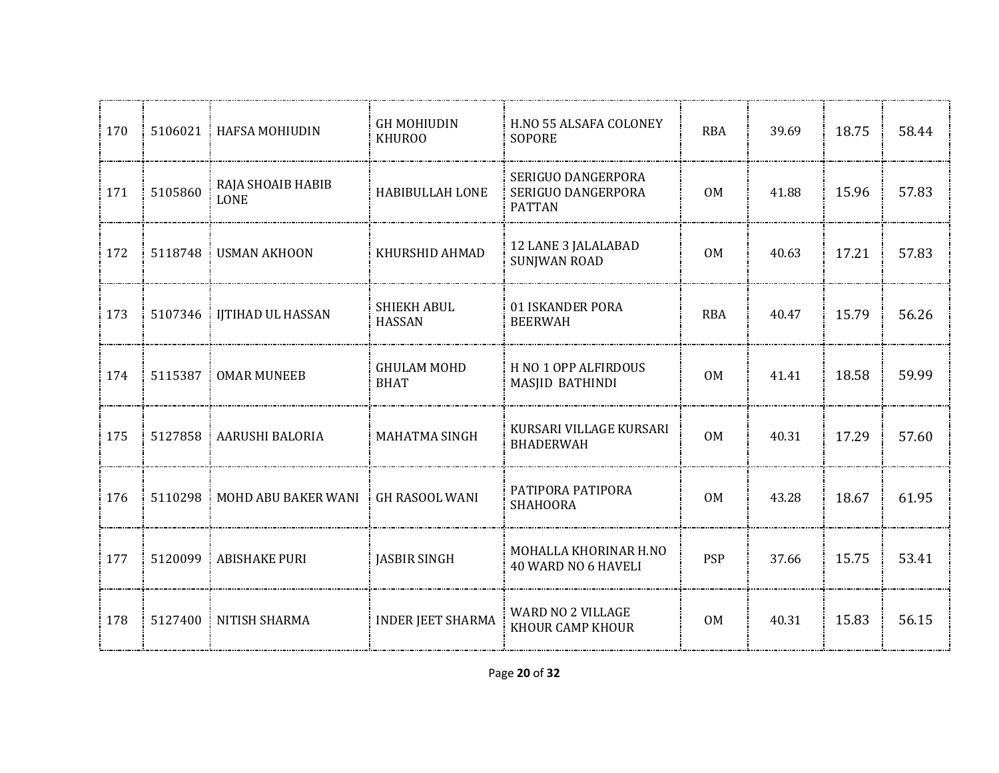| 170   | 5106021 | <b>HAFSA MOHIUDIN</b>            | <b>GH MOHIUDIN</b><br><b>KHUROO</b> | H.NO 55 ALSAFA COLONEY<br><b>SOPORE</b>                   | <b>RBA</b>     | 39.69 | 18.75 | 58.44 |
|-------|---------|----------------------------------|-------------------------------------|-----------------------------------------------------------|----------------|-------|-------|-------|
| 171   | 5105860 | RAJA SHOAIB HABIB<br><b>LONE</b> | HABIBULLAH LONE                     | SERIGUO DANGERPORA<br>SERIGUO DANGERPORA<br><b>PATTAN</b> | 0 <sub>M</sub> | 41.88 | 15.96 | 57.83 |
| : 172 | 5118748 | <b>USMAN AKHOON</b>              | KHURSHID AHMAD                      | 12 LANE 3 JALALABAD<br><b>SUNJWAN ROAD</b>                | <b>OM</b>      | 40.63 | 17.21 | 57.83 |
| 173   | 5107346 | IJTIHAD UL HASSAN                | <b>SHIEKH ABUL</b><br><b>HASSAN</b> | 01 ISKANDER PORA<br><b>BEERWAH</b>                        | <b>RBA</b>     | 40.47 | 15.79 | 56.26 |
| 174   | 5115387 | <b>OMAR MUNEEB</b>               | <b>GHULAM MOHD</b><br><b>BHAT</b>   | H NO 1 OPP ALFIRDOUS<br>MASJID BATHINDI                   | 0M             | 41.41 | 18.58 | 59.99 |
| 175   | 5127858 | : AARUSHI BALORIA                | <b>MAHATMA SINGH</b>                | KURSARI VILLAGE KURSARI<br><b>BHADERWAH</b>               | 0 <sub>M</sub> | 40.31 | 17.29 | 57.60 |
| 176   | 5110298 | MOHD ABU BAKER WANI              | GH RASOOL WANI                      | PATIPORA PATIPORA<br><b>SHAHOORA</b>                      | <b>OM</b>      | 43.28 | 18.67 | 61.95 |
| 177   | 5120099 | <b>ABISHAKE PURI</b>             | JASBIR SINGH                        | MOHALLA KHORINAR H.NO<br>40 WARD NO 6 HAVELI              | <b>PSP</b>     | 37.66 | 15.75 | 53.41 |
| 178   |         | 5127400 NITISH SHARMA            | INDER JEET SHARMA                   | WARD NO 2 VILLAGE<br>KHOUR CAMP KHOUR                     | 0 <sub>M</sub> | 40.31 | 15.83 | 56.15 |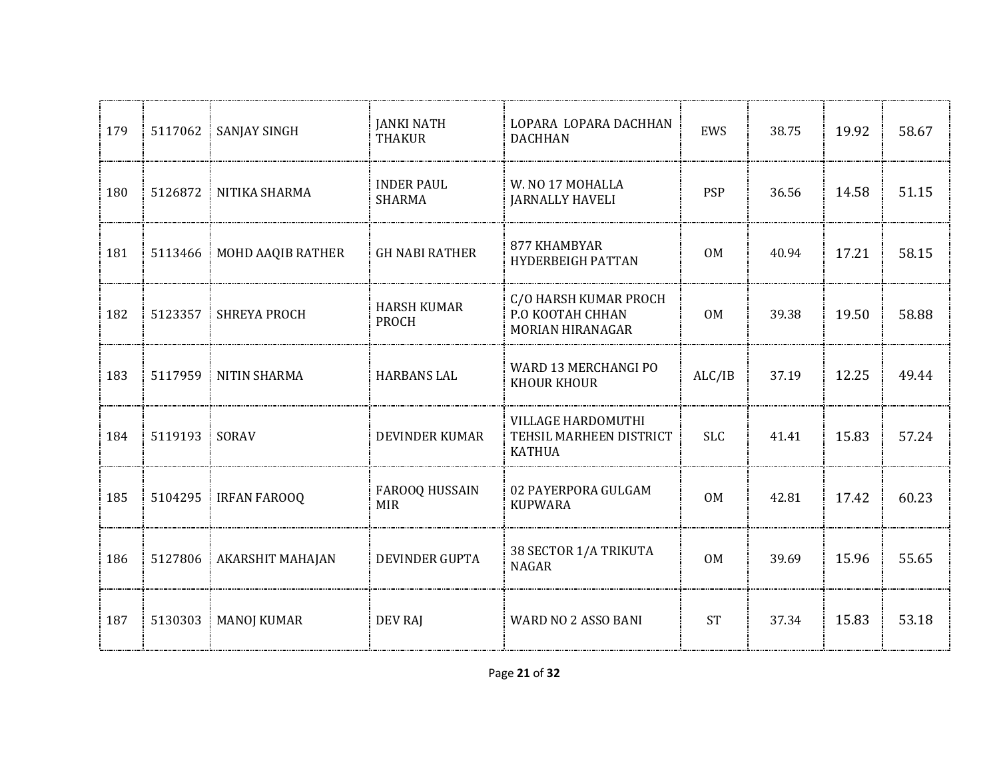| 179 |               | 5117062   SANJAY SINGH      | <b>JANKI NATH</b><br><b>THAKUR</b> | LOPARA LOPARA DACHHAN<br><b>DACHHAN</b>                        | <b>EWS</b>     | 38.75 | 19.92 | 58.67 |
|-----|---------------|-----------------------------|------------------------------------|----------------------------------------------------------------|----------------|-------|-------|-------|
| 180 |               | 5126872 NITIKA SHARMA       | <b>INDER PAUL</b><br><b>SHARMA</b> | W. NO 17 MOHALLA<br><b>JARNALLY HAVELI</b>                     | <b>PSP</b>     | 36.56 | 14.58 | 51.15 |
| 181 |               | 5113466   MOHD AAQIB RATHER | <b>GH NABI RATHER</b>              | 877 KHAMBYAR<br><b>HYDERBEIGH PATTAN</b>                       | 0 <sub>M</sub> | 40.94 | 17.21 | 58.15 |
| 182 |               | 5123357   SHREYA PROCH      | <b>HARSH KUMAR</b><br><b>PROCH</b> | C/O HARSH KUMAR PROCH<br>P.O KOOTAH CHHAN<br>MORIAN HIRANAGAR  | <b>OM</b>      | 39.38 | 19.50 | 58.88 |
| 183 |               | 5117959 NITIN SHARMA        | <b>HARBANS LAL</b>                 | WARD 13 MERCHANGI PO<br><b>KHOUR KHOUR</b>                     | ALC/IB         | 37.19 | 12.25 | 49.44 |
| 184 | 5119193 SORAV |                             | <b>DEVINDER KUMAR</b>              | VILLAGE HARDOMUTHI<br>TEHSIL MARHEEN DISTRICT<br><b>KATHUA</b> | <b>SLC</b>     | 41.41 | 15.83 | 57.24 |
| 185 |               | 5104295 IRFAN FAROOQ        | FAROOQ HUSSAIN<br><b>MIR</b>       | 02 PAYERPORA GULGAM<br><b>KUPWARA</b>                          | 0M             | 42.81 | 17.42 | 60.23 |
| 186 |               | 5127806 AKARSHIT MAHAJAN    | DEVINDER GUPTA                     | 38 SECTOR 1/A TRIKUTA<br><b>NAGAR</b>                          | 0 <sub>M</sub> | 39.69 | 15.96 | 55.65 |
| 187 | 5130303       | <b>MANOJ KUMAR</b>          | <b>DEV RAJ</b>                     | WARD NO 2 ASSO BANI                                            | <b>ST</b>      | 37.34 | 15.83 | 53.18 |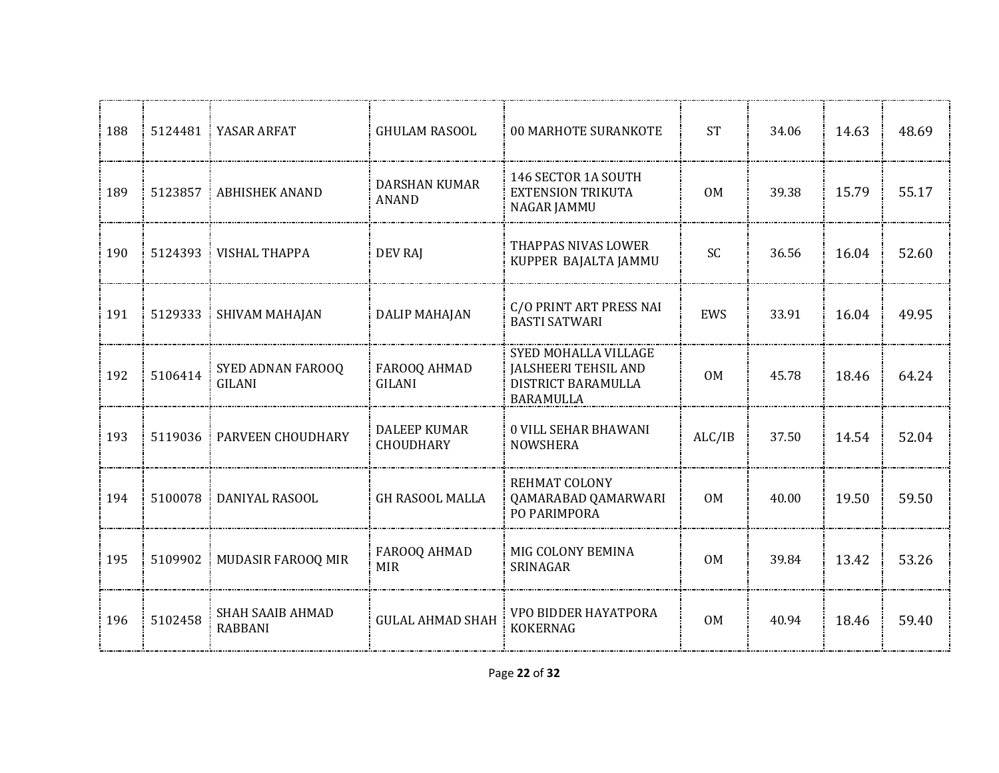| 188 |         | 5124481 YASAR ARFAT                       | <b>GHULAM RASOOL</b>             | 00 MARHOTE SURANKOTE                                                                          | <b>ST</b>      | 34.06 | 14.63 | 48.69 |
|-----|---------|-------------------------------------------|----------------------------------|-----------------------------------------------------------------------------------------------|----------------|-------|-------|-------|
| 189 | 5123857 | <b>ABHISHEK ANAND</b>                     | DARSHAN KUMAR<br><b>ANAND</b>    | 146 SECTOR 1A SOUTH<br><b>EXTENSION TRIKUTA</b><br><b>NAGAR JAMMU</b>                         | 0 <sub>M</sub> | 39.38 | 15.79 | 55.17 |
| 190 |         | 5124393   VISHAL THAPPA                   | <b>DEV RAJ</b>                   | THAPPAS NIVAS LOWER<br>KUPPER BAJALTA JAMMU                                                   | <b>SC</b>      | 36.56 | 16.04 | 52.60 |
| 191 | 5129333 | SHIVAM MAHAJAN<br>÷.                      | <b>DALIP MAHAJAN</b>             | C/O PRINT ART PRESS NAI<br><b>BASTI SATWARI</b>                                               | <b>EWS</b>     | 33.91 | 16.04 | 49.95 |
| 192 | 5106414 | SYED ADNAN FAROOQ<br><b>GILANI</b>        | FAROOQ AHMAD<br>GILANI           | SYED MOHALLA VILLAGE<br><b>JALSHEERI TEHSIL AND</b><br>DISTRICT BARAMULLA<br><b>BARAMULLA</b> | 0M             | 45.78 | 18.46 | 64.24 |
| 193 | 5119036 | <b>PARVEEN CHOUDHARY</b>                  | <b>DALEEP KUMAR</b><br>CHOUDHARY | <b>0 VILL SEHAR BHAWANI</b><br><b>NOWSHERA</b>                                                | ALC/IB         | 37.50 | 14.54 | 52.04 |
| 194 | 5100078 | DANIYAL RASOOL                            | <b>GH RASOOL MALLA</b>           | REHMAT COLONY<br>QAMARABAD QAMARWARI<br>PO PARIMPORA                                          | 0M             | 40.00 | 19.50 | 59.50 |
| 195 | 5109902 | MUDASIR FAROOQ MIR                        | FAROOQ AHMAD<br><b>MIR</b>       | MIG COLONY BEMINA<br>SRINAGAR                                                                 | 0M             | 39.84 | 13.42 | 53.26 |
| 196 | 5102458 | <b>SHAH SAAIB AHMAD</b><br><b>RABBANI</b> | <b>GULAL AHMAD SHAH</b>          | VPO BIDDER HAYATPORA<br><b>KOKERNAG</b>                                                       | <b>OM</b>      | 40.94 | 18.46 | 59.40 |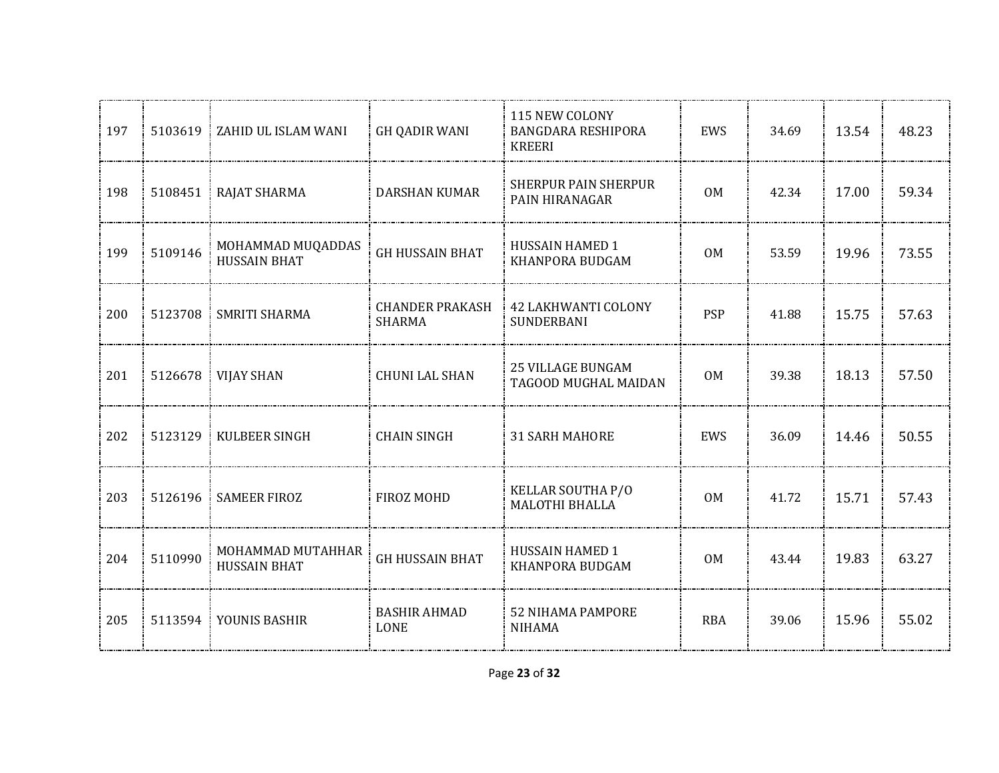| 197 | 5103619 | ZAHID UL ISLAM WANI                      | <b>GH QADIR WANI</b>                    | 115 NEW COLONY<br><b>BANGDARA RESHIPORA</b><br><b>KREERI</b> | EWS            | 34.69 | 13.54 | 48.23 |
|-----|---------|------------------------------------------|-----------------------------------------|--------------------------------------------------------------|----------------|-------|-------|-------|
| 198 |         | 5108451 RAJAT SHARMA                     | <b>DARSHAN KUMAR</b>                    | <b>SHERPUR PAIN SHERPUR</b><br>PAIN HIRANAGAR                | <b>OM</b>      | 42.34 | 17.00 | 59.34 |
| 199 | 5109146 | MOHAMMAD MUQADDAS<br><b>HUSSAIN BHAT</b> | <b>GH HUSSAIN BHAT</b>                  | HUSSAIN HAMED 1<br>KHANPORA BUDGAM                           | <b>OM</b>      | 53.59 | 19.96 | 73.55 |
| 200 | 5123708 | <b>SMRITI SHARMA</b>                     | <b>CHANDER PRAKASH</b><br><b>SHARMA</b> | <b>42 LAKHWANTI COLONY</b><br><b>SUNDERBANI</b>              | <b>PSP</b>     | 41.88 | 15.75 | 57.63 |
| 201 |         | 5126678    VIJAY SHAN                    | <b>CHUNI LAL SHAN</b>                   | <b>25 VILLAGE BUNGAM</b><br>TAGOOD MUGHAL MAIDAN             | 0M             | 39.38 | 18.13 | 57.50 |
| 202 | 5123129 | KULBEER SINGH                            | <b>CHAIN SINGH</b>                      | <b>31 SARH MAHORE</b>                                        | EWS            | 36.09 | 14.46 | 50.55 |
| 203 | 5126196 | <b>SAMEER FIROZ</b>                      | FIROZ MOHD                              | KELLAR SOUTHA P/O<br><b>MALOTHI BHALLA</b>                   | <b>OM</b>      | 41.72 | 15.71 | 57.43 |
| 204 | 5110990 | MOHAMMAD MUTAHHAR<br><b>HUSSAIN BHAT</b> | <b>GH HUSSAIN BHAT</b>                  | <b>HUSSAIN HAMED 1</b><br>KHANPORA BUDGAM                    | 0 <sub>M</sub> | 43.44 | 19.83 | 63.27 |
| 205 |         | 5113594 YOUNIS BASHIR                    | <b>BASHIR AHMAD</b><br><b>LONE</b>      | <b>52 NIHAMA PAMPORE</b><br><b>NIHAMA</b>                    | <b>RBA</b>     | 39.06 | 15.96 | 55.02 |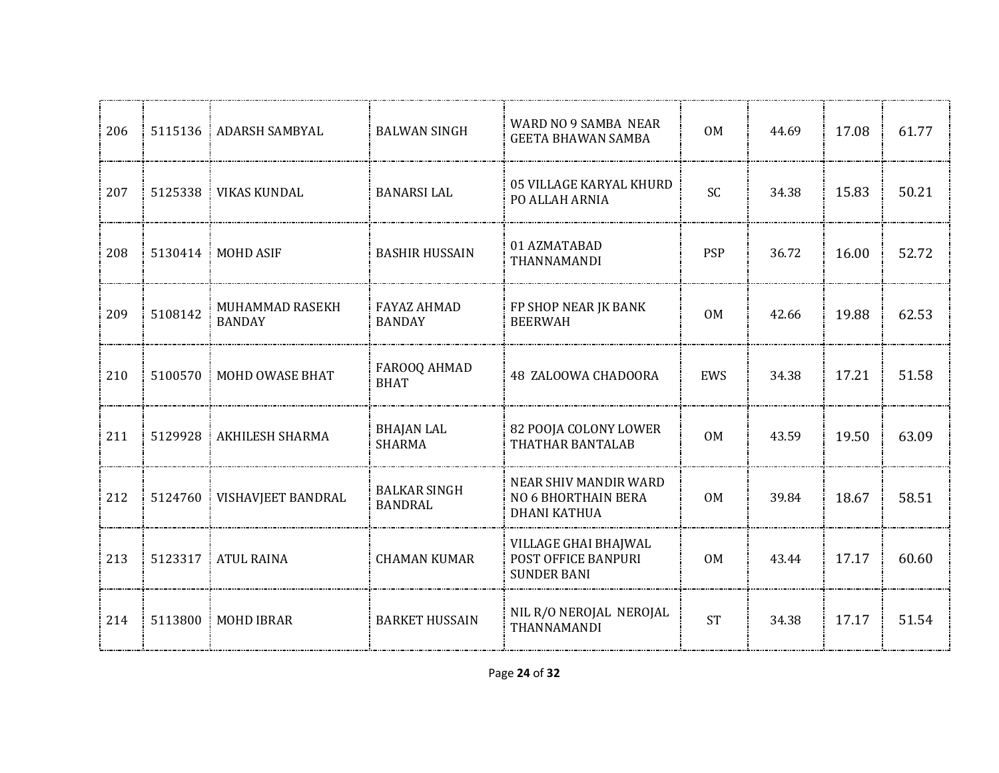| 206 | 5115136 | <b>ADARSH SAMBYAL</b>            | <b>BALWAN SINGH</b>                   | WARD NO 9 SAMBA NEAR<br><b>GEETA BHAWAN SAMBA</b>                   | 0 <sub>M</sub> | 44.69 | 17.08 | 61.77 |
|-----|---------|----------------------------------|---------------------------------------|---------------------------------------------------------------------|----------------|-------|-------|-------|
| 207 |         | 5125338   VIKAS KUNDAL           | <b>BANARSI LAL</b>                    | 05 VILLAGE KARYAL KHURD<br>PO ALLAH ARNIA                           | SC             | 34.38 | 15.83 | 50.21 |
| 208 | 5130414 | <b>MOHD ASIF</b>                 | <b>BASHIR HUSSAIN</b>                 | 01 AZMATABAD<br>THANNAMANDI                                         | <b>PSP</b>     | 36.72 | 16.00 | 52.72 |
| 209 | 5108142 | MUHAMMAD RASEKH<br><b>BANDAY</b> | <b>FAYAZ AHMAD</b><br><b>BANDAY</b>   | FP SHOP NEAR JK BANK<br><b>BEERWAH</b>                              | 0M             | 42.66 | 19.88 | 62.53 |
| 210 | 5100570 | MOHD OWASE BHAT                  | FAROOQ AHMAD<br><b>BHAT</b>           | 48 ZALOOWA CHADOORA                                                 | EWS            | 34.38 | 17.21 | 51.58 |
| 211 | 5129928 | <b>AKHILESH SHARMA</b>           | <b>BHAJAN LAL</b><br><b>SHARMA</b>    | 82 POOJA COLONY LOWER<br>THATHAR BANTALAB                           | 0 <sub>M</sub> | 43.59 | 19.50 | 63.09 |
| 212 | 5124760 | VISHAVJEET BANDRAL               | <b>BALKAR SINGH</b><br><b>BANDRAL</b> | NEAR SHIV MANDIR WARD<br>NO 6 BHORTHAIN BERA<br><b>DHANI KATHUA</b> | 0M             | 39.84 | 18.67 | 58.51 |
| 213 | 5123317 | <b>ATUL RAINA</b>                | <b>CHAMAN KUMAR</b>                   | VILLAGE GHAI BHAJWAL<br>POST OFFICE BANPURI<br><b>SUNDER BANI</b>   | 0 <sub>M</sub> | 43.44 | 17.17 | 60.60 |
| 214 | 5113800 | <b>MOHD IBRAR</b>                | <b>BARKET HUSSAIN</b>                 | NIL R/O NEROJAL NEROJAL<br>THANNAMANDI                              | <b>ST</b>      | 34.38 | 17.17 | 51.54 |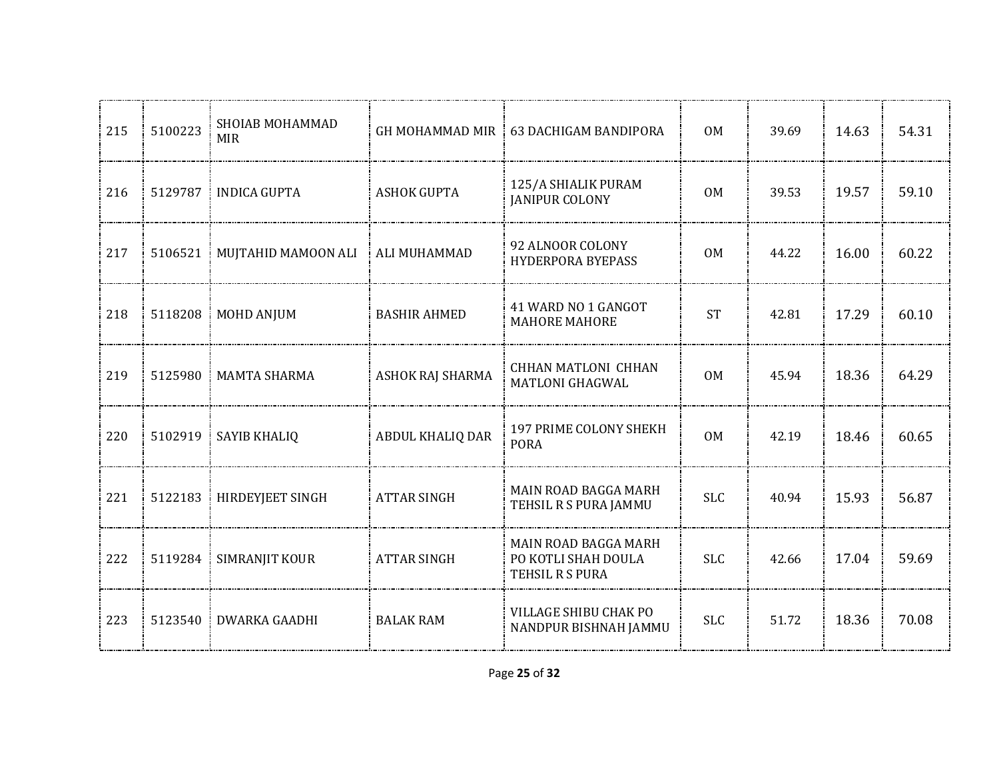| 215 | 5100223 | SHOIAB MOHAMMAD<br><b>MIR</b> | <b>GH MOHAMMAD MIR</b> | 63 DACHIGAM BANDIPORA                                          | 0 <sub>M</sub> | 39.69 | 14.63 | 54.31 |
|-----|---------|-------------------------------|------------------------|----------------------------------------------------------------|----------------|-------|-------|-------|
| 216 | 5129787 | INDICA GUPTA                  | <b>ASHOK GUPTA</b>     | 125/A SHIALIK PURAM<br><b>JANIPUR COLONY</b>                   | 0 <sub>M</sub> | 39.53 | 19.57 | 59.10 |
| 217 | 5106521 | MUJTAHID MAMOON ALI           | <b>ALI MUHAMMAD</b>    | 92 ALNOOR COLONY<br><b>HYDERPORA BYEPASS</b>                   | <b>OM</b>      | 44.22 | 16.00 | 60.22 |
| 218 | 5118208 | <b>MOHD ANJUM</b>             | <b>BASHIR AHMED</b>    | 41 WARD NO 1 GANGOT<br><b>MAHORE MAHORE</b>                    | <b>ST</b>      | 42.81 | 17.29 | 60.10 |
| 219 | 5125980 | <b>MAMTA SHARMA</b>           | ASHOK RAJ SHARMA       | CHHAN MATLONI CHHAN<br><b>MATLONI GHAGWAL</b>                  | 0 <sub>M</sub> | 45.94 | 18.36 | 64.29 |
| 220 | 5102919 | SAYIB KHALIQ                  | ABDUL KHALIQ DAR       | 197 PRIME COLONY SHEKH<br><b>PORA</b>                          | <b>OM</b>      | 42.19 | 18.46 | 60.65 |
| 221 | 5122183 | HIRDEYJEET SINGH              | <b>ATTAR SINGH</b>     | MAIN ROAD BAGGA MARH<br>TEHSIL R S PURA JAMMU                  | <b>SLC</b>     | 40.94 | 15.93 | 56.87 |
| 222 | 5119284 | SIMRANJIT KOUR                | <b>ATTAR SINGH</b>     | MAIN ROAD BAGGA MARH<br>PO KOTLI SHAH DOULA<br>TEHSIL R S PURA | <b>SLC</b>     | 42.66 | 17.04 | 59.69 |
| 223 | 5123540 | <b>DWARKA GAADHI</b>          | <b>BALAK RAM</b>       | VILLAGE SHIBU CHAK PO<br>NANDPUR BISHNAH JAMMU                 | <b>SLC</b>     | 51.72 | 18.36 | 70.08 |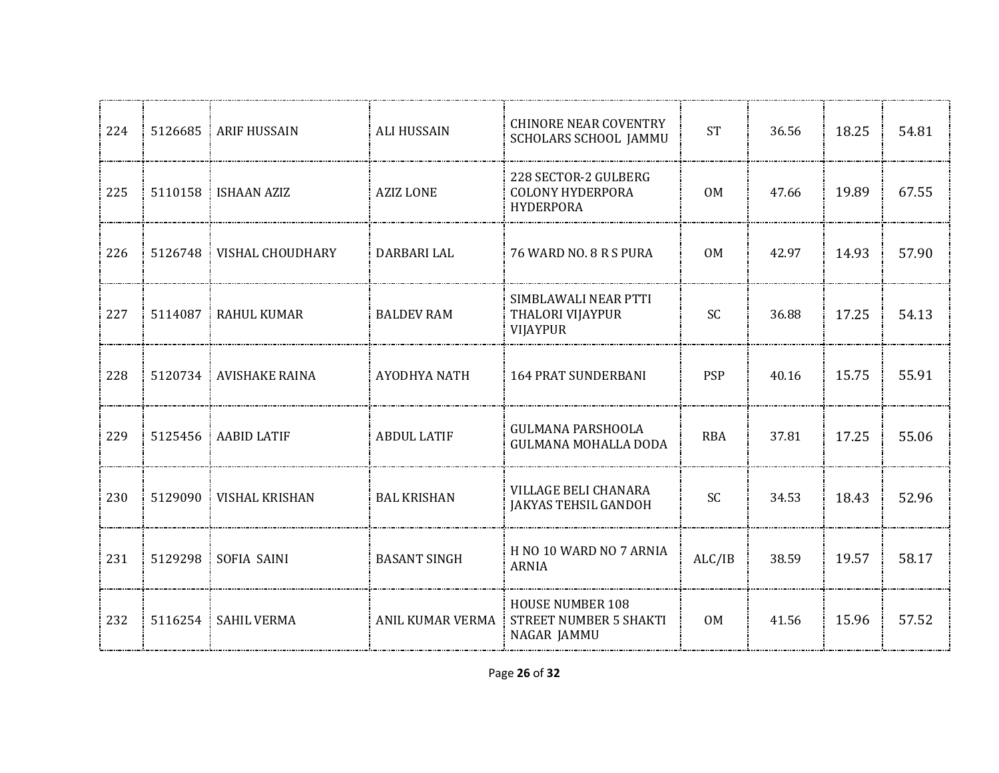| 224 | 5126685 | ARIF HUSSAIN             | <b>ALI HUSSAIN</b>  | <b>CHINORE NEAR COVENTRY</b><br>SCHOLARS SCHOOL JAMMU               | <b>ST</b>      | 36.56 | 18.25 | 54.81 |
|-----|---------|--------------------------|---------------------|---------------------------------------------------------------------|----------------|-------|-------|-------|
| 225 |         | 5110158 ISHAAN AZIZ      | <b>AZIZ LONE</b>    | 228 SECTOR-2 GULBERG<br><b>COLONY HYDERPORA</b><br><b>HYDERPORA</b> | 0 <sub>M</sub> | 47.66 | 19.89 | 67.55 |
| 226 | 5126748 | VISHAL CHOUDHARY         | DARBARI LAL         | 76 WARD NO. 8 R S PURA                                              | 0 <sub>M</sub> | 42.97 | 14.93 | 57.90 |
| 227 | 5114087 | <b>RAHUL KUMAR</b>       | <b>BALDEV RAM</b>   | SIMBLAWALI NEAR PTTI<br>THALORI VIJAYPUR<br><b>VIJAYPUR</b>         | <b>SC</b>      | 36.88 | 17.25 | 54.13 |
| 228 |         | 5120734 AVISHAKE RAINA   | AYODHYA NATH        | <b>164 PRAT SUNDERBANI</b>                                          | <b>PSP</b>     | 40.16 | 15.75 | 55.91 |
| 229 | 5125456 | <b>AABID LATIF</b><br>÷. | <b>ABDUL LATIF</b>  | <b>GULMANA PARSHOOLA</b><br><b>GULMANA MOHALLA DODA</b>             | <b>RBA</b>     | 37.81 | 17.25 | 55.06 |
| 230 | 5129090 | <b>VISHAL KRISHAN</b>    | <b>BAL KRISHAN</b>  | VILLAGE BELI CHANARA<br><b>JAKYAS TEHSIL GANDOH</b>                 | SC             | 34.53 | 18.43 | 52.96 |
| 231 | 5129298 | SOFIA SAINI              | <b>BASANT SINGH</b> | H NO 10 WARD NO 7 ARNIA<br><b>ARNIA</b>                             | ALC/IB         | 38.59 | 19.57 | 58.17 |
| 232 | 5116254 | <b>SAHIL VERMA</b>       | ANIL KUMAR VERMA    | <b>HOUSE NUMBER 108</b><br>STREET NUMBER 5 SHAKTI<br>NAGAR JAMMU    | 0M             | 41.56 | 15.96 | 57.52 |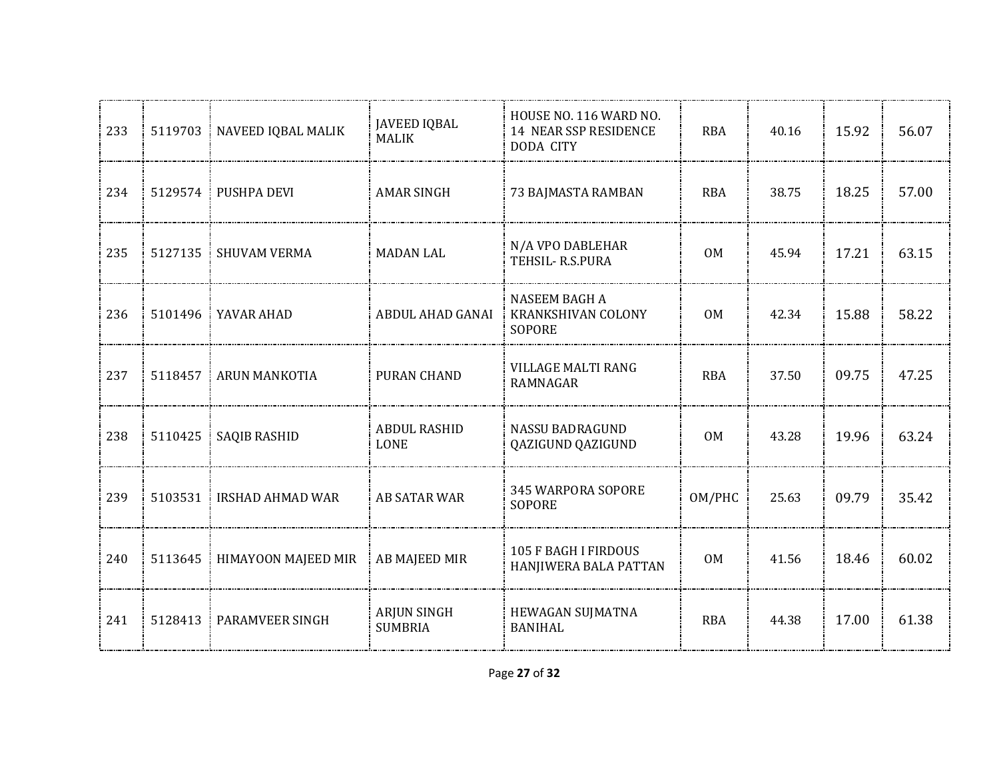| 233 |         | 5119703   NAVEED IQBAL MALIK  | JAVEED IQBAL<br><b>MALIK</b>         | HOUSE NO. 116 WARD NO.<br><b>14 NEAR SSP RESIDENCE</b><br><b>DODA CITY</b> | <b>RBA</b>     | 40.16 | 15.92 | 56.07 |
|-----|---------|-------------------------------|--------------------------------------|----------------------------------------------------------------------------|----------------|-------|-------|-------|
| 234 |         | 5129574 PUSHPA DEVI           | AMAR SINGH                           | 73 BAJMASTA RAMBAN                                                         | RBA            | 38.75 | 18.25 | 57.00 |
| 235 |         | 5127135   SHUVAM VERMA        | <b>MADAN LAL</b>                     | N/A VPO DABLEHAR<br>TEHSIL-R.S.PURA                                        | 0 <sub>M</sub> | 45.94 | 17.21 | 63.15 |
| 236 |         | 5101496   YAVAR AHAD          | ABDUL AHAD GANAI                     | NASEEM BAGH A<br>KRANKSHIVAN COLONY<br><b>SOPORE</b>                       | 0M             | 42.34 | 15.88 | 58.22 |
| 237 |         | 5118457 ARUN MANKOTIA         | PURAN CHAND                          | <b>VILLAGE MALTI RANG</b><br>RAMNAGAR                                      | <b>RBA</b>     | 37.50 | 09.75 | 47.25 |
| 238 |         | 5110425   SAQIB RASHID        | <b>ABDUL RASHID</b><br><b>LONE</b>   | NASSU BADRAGUND<br>QAZIGUND QAZIGUND                                       | <b>OM</b>      | 43.28 | 19.96 | 63.24 |
| 239 | 5103531 | <b>IRSHAD AHMAD WAR</b>       | AB SATAR WAR                         | 345 WARPORA SOPORE<br><b>SOPORE</b>                                        | OM/PHC         | 25.63 | 09.79 | 35.42 |
| 240 |         | 5113645   HIMAYOON MAJEED MIR | <b>AB MAJEED MIR</b>                 | <b>105 F BAGH I FIRDOUS</b><br>HANJIWERA BALA PATTAN                       | 0 <sub>M</sub> | 41.56 | 18.46 | 60.02 |
| 241 |         | 5128413 PARAMVEER SINGH       | <b>ARJUN SINGH</b><br><b>SUMBRIA</b> | HEWAGAN SUJMATNA<br><b>BANIHAL</b>                                         | <b>RBA</b>     | 44.38 | 17.00 | 61.38 |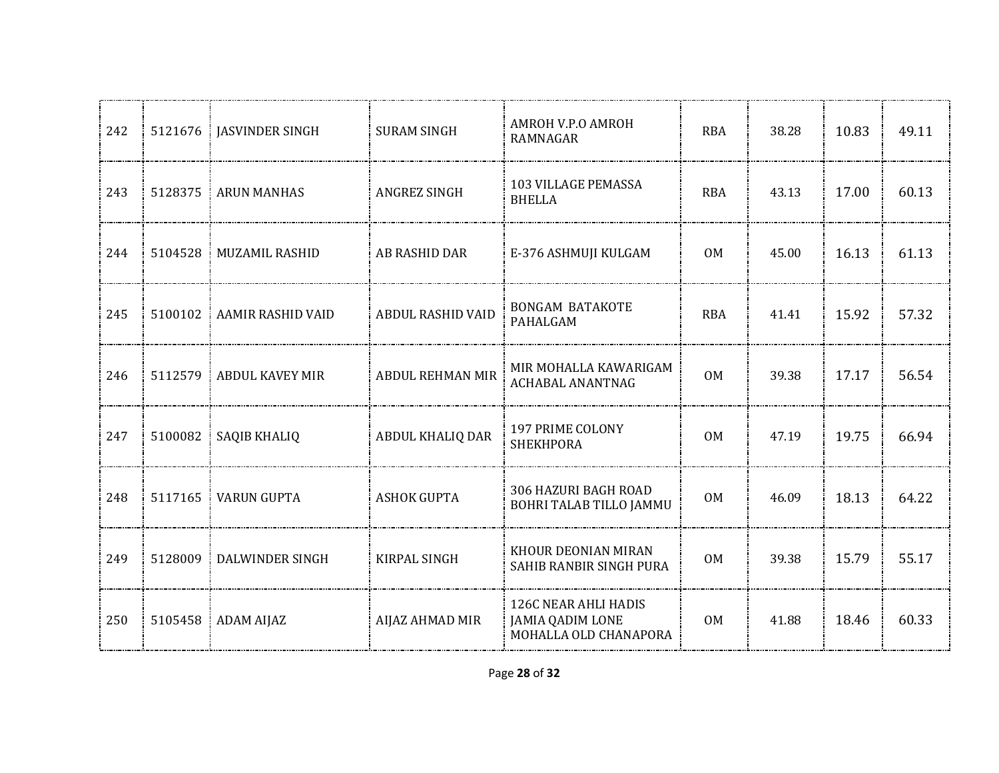| 242 | 5121676 | <b>JASVINDER SINGH</b>      | <b>SURAM SINGH</b>       | AMROH V.P.O AMROH<br><b>RAMNAGAR</b>                                     | <b>RBA</b>     | 38.28 | 10.83 | 49.11 |
|-----|---------|-----------------------------|--------------------------|--------------------------------------------------------------------------|----------------|-------|-------|-------|
| 243 | 5128375 | ARUN MANHAS                 | ANGREZ SINGH             | 103 VILLAGE PEMASSA<br><b>BHELLA</b>                                     | <b>RBA</b>     | 43.13 | 17.00 | 60.13 |
| 244 | 5104528 | <b>MUZAMIL RASHID</b><br>÷. | AB RASHID DAR            | E-376 ASHMUJI KULGAM                                                     | 0M             | 45.00 | 16.13 | 61.13 |
| 245 | 5100102 | <b>AAMIR RASHID VAID</b>    | <b>ABDUL RASHID VAID</b> | <b>BONGAM BATAKOTE</b><br>PAHALGAM                                       | <b>RBA</b>     | 41.41 | 15.92 | 57.32 |
| 246 | 5112579 | <b>ABDUL KAVEY MIR</b>      | <b>ABDUL REHMAN MIR</b>  | MIR MOHALLA KAWARIGAM<br>ACHABAL ANANTNAG                                | 0M             | 39.38 | 17.17 | 56.54 |
| 247 | 5100082 | SAQIB KHALIQ                | ABDUL KHALIQ DAR         | 197 PRIME COLONY<br><b>SHEKHPORA</b>                                     | <b>OM</b>      | 47.19 | 19.75 | 66.94 |
| 248 | 5117165 | <b>VARUN GUPTA</b>          | <b>ASHOK GUPTA</b>       | 306 HAZURI BAGH ROAD<br>BOHRI TALAB TILLO JAMMU                          | 0M             | 46.09 | 18.13 | 64.22 |
| 249 | 5128009 | <b>DALWINDER SINGH</b>      | KIRPAL SINGH             | KHOUR DEONIAN MIRAN<br>SAHIB RANBIR SINGH PURA                           | 0 <sub>M</sub> | 39.38 | 15.79 | 55.17 |
| 250 |         | 5105458 ADAM AIJAZ          | AIJAZ AHMAD MIR          | 126C NEAR AHLI HADIS<br><b>JAMIA QADIM LONE</b><br>MOHALLA OLD CHANAPORA | 0 <sub>M</sub> | 41.88 | 18.46 | 60.33 |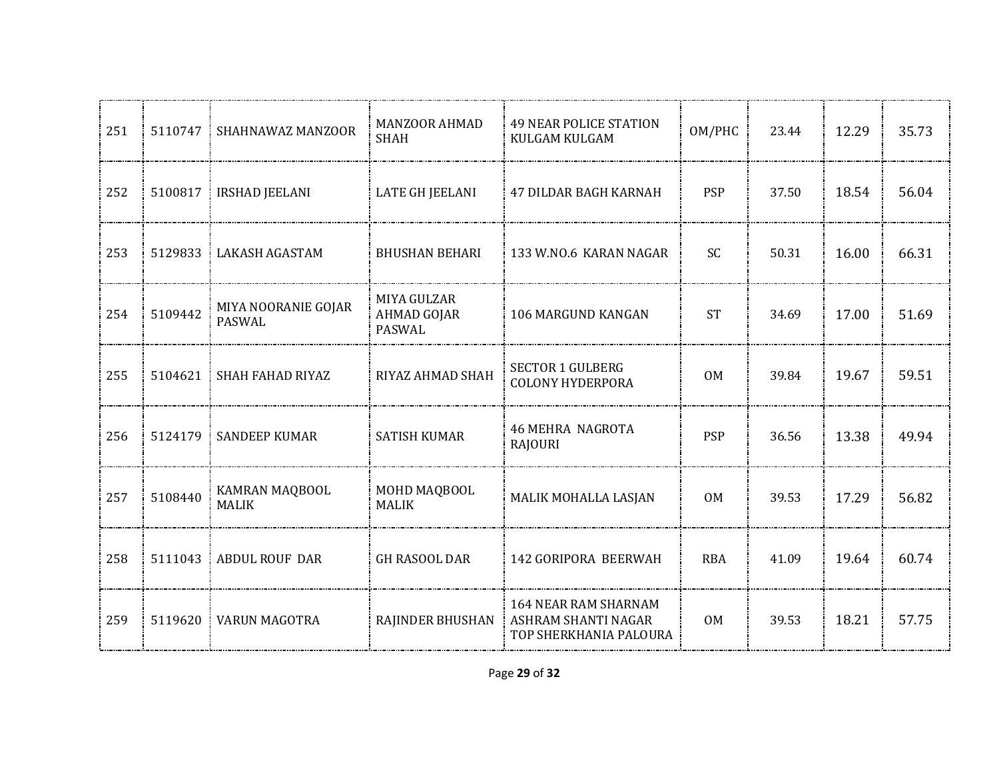| 251 | 5110747 | SHAHNAWAZ MANZOOR                    | <b>MANZOOR AHMAD</b><br><b>SHAH</b>         | <b>49 NEAR POLICE STATION</b><br>KULGAM KULGAM                               | OM/PHC         | 23.44 | 12.29 | 35.73 |
|-----|---------|--------------------------------------|---------------------------------------------|------------------------------------------------------------------------------|----------------|-------|-------|-------|
| 252 | 5100817 | <b>IRSHAD JEELANI</b>                | <b>LATE GH JEELANI</b>                      | 47 DILDAR BAGH KARNAH                                                        | <b>PSP</b>     | 37.50 | 18.54 | 56.04 |
| 253 | 5129833 | LAKASH AGASTAM                       | <b>BHUSHAN BEHARI</b>                       | 133 W.NO.6 KARAN NAGAR                                                       | <b>SC</b>      | 50.31 | 16.00 | 66.31 |
| 254 | 5109442 | MIYA NOORANIE GOJAR<br><b>PASWAL</b> | MIYA GULZAR<br><b>AHMAD GOJAR</b><br>PASWAL | 106 MARGUND KANGAN                                                           | <b>ST</b>      | 34.69 | 17.00 | 51.69 |
| 255 | 5104621 | SHAH FAHAD RIYAZ                     | RIYAZ AHMAD SHAH                            | <b>SECTOR 1 GULBERG</b><br><b>COLONY HYDERPORA</b>                           | 0M             | 39.84 | 19.67 | 59.51 |
| 256 | 5124179 | <b>SANDEEP KUMAR</b>                 | <b>SATISH KUMAR</b>                         | <b>46 MEHRA NAGROTA</b><br><b>RAJOURI</b>                                    | <b>PSP</b>     | 36.56 | 13.38 | 49.94 |
| 257 | 5108440 | KAMRAN MAQBOOL<br><b>MALIK</b>       | MOHD MAQBOOL<br><b>MALIK</b>                | MALIK MOHALLA LASJAN                                                         | 0M             | 39.53 | 17.29 | 56.82 |
| 258 | 5111043 | <b>ABDUL ROUF DAR</b>                | <b>GH RASOOL DAR</b>                        | 142 GORIPORA BEERWAH                                                         | <b>RBA</b>     | 41.09 | 19.64 | 60.74 |
| 259 | 5119620 | <b>VARUN MAGOTRA</b>                 | RAJINDER BHUSHAN                            | <b>164 NEAR RAM SHARNAM</b><br>ASHRAM SHANTI NAGAR<br>TOP SHERKHANIA PALOURA | 0 <sub>M</sub> | 39.53 | 18.21 | 57.75 |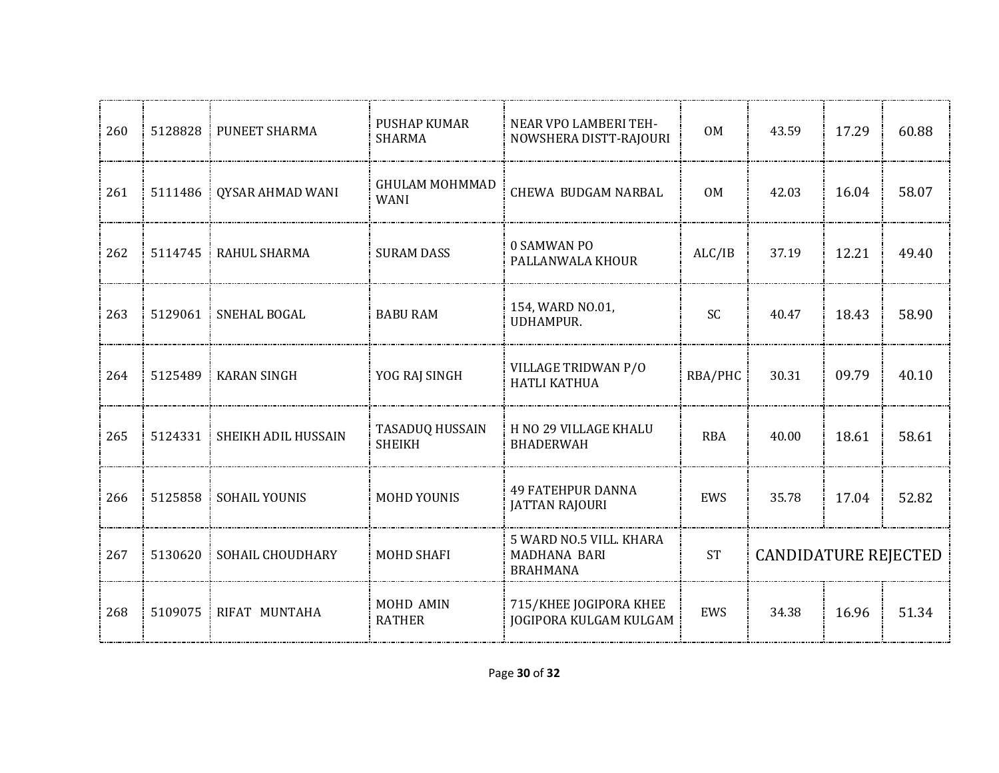| 260 | 5128828 | PUNEET SHARMA        | <b>PUSHAP KUMAR</b><br><b>SHARMA</b>    | NEAR VPO LAMBERI TEH-<br>NOWSHERA DISTT-RAJOURI                   | <b>OM</b>  | 43.59                       | 17.29 | 60.88 |
|-----|---------|----------------------|-----------------------------------------|-------------------------------------------------------------------|------------|-----------------------------|-------|-------|
| 261 | 5111486 | QYSAR AHMAD WANI     | <b>GHULAM MOHMMAD</b><br><b>WANI</b>    | <b>CHEWA BUDGAM NARBAL</b>                                        | 0M         | 42.03                       | 16.04 | 58.07 |
| 262 | 5114745 | RAHUL SHARMA         | <b>SURAM DASS</b>                       | 0 SAMWAN PO<br>PALLANWALA KHOUR                                   | ALC/IB     | 37.19                       | 12.21 | 49.40 |
| 263 | 5129061 | SNEHAL BOGAL         | <b>BABU RAM</b>                         | 154, WARD NO.01,<br>UDHAMPUR.                                     | SC         | 40.47                       | 18.43 | 58.90 |
| 264 | 5125489 | <b>KARAN SINGH</b>   | YOG RAJ SINGH                           | VILLAGE TRIDWAN P/O<br>HATLI KATHUA                               | RBA/PHC    | 30.31                       | 09.79 | 40.10 |
| 265 | 5124331 | SHEIKH ADIL HUSSAIN  | <b>TASADUQ HUSSAIN</b><br><b>SHEIKH</b> | H NO 29 VILLAGE KHALU<br><b>BHADERWAH</b>                         | <b>RBA</b> | 40.00                       | 18.61 | 58.61 |
| 266 | 5125858 | <b>SOHAIL YOUNIS</b> | <b>MOHD YOUNIS</b>                      | <b>49 FATEHPUR DANNA</b><br><b>JATTAN RAJOURI</b>                 | EWS        | 35.78                       | 17.04 | 52.82 |
| 267 | 5130620 | SOHAIL CHOUDHARY     | <b>MOHD SHAFI</b>                       | 5 WARD NO.5 VILL. KHARA<br><b>MADHANA BARI</b><br><b>BRAHMANA</b> | <b>ST</b>  | <b>CANDIDATURE REJECTED</b> |       |       |
| 268 | 5109075 | RIFAT MUNTAHA        | MOHD AMIN<br><b>RATHER</b>              | 715/KHEE JOGIPORA KHEE<br><b>JOGIPORA KULGAM KULGAM</b>           | EWS        | 34.38                       | 16.96 | 51.34 |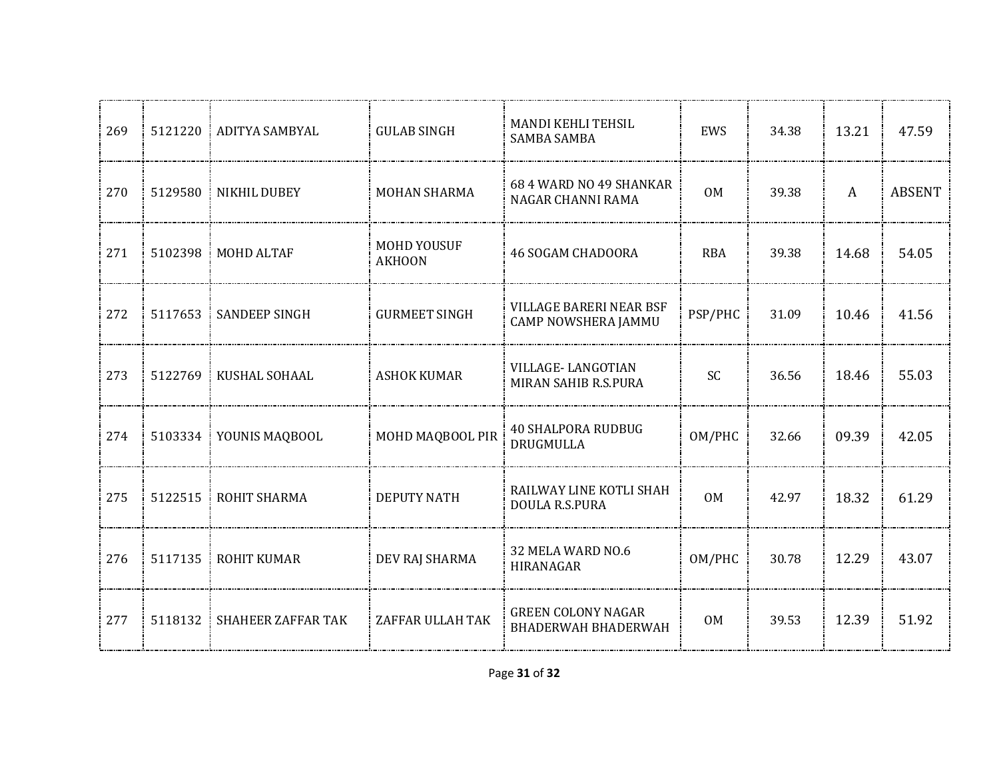| 269 |         | 5121220 ADITYA SAMBYAL    | <b>GULAB SINGH</b>           | MANDI KEHLI TEHSIL<br><b>SAMBA SAMBA</b>                | EWS            | 34.38 | 13.21 | 47.59         |
|-----|---------|---------------------------|------------------------------|---------------------------------------------------------|----------------|-------|-------|---------------|
| 270 |         | 5129580 NIKHIL DUBEY      | <b>MOHAN SHARMA</b>          | 68 4 WARD NO 49 SHANKAR<br>NAGAR CHANNI RAMA            | <b>OM</b>      | 39.38 | A     | <b>ABSENT</b> |
| 271 |         | 5102398   MOHD ALTAF      | MOHD YOUSUF<br><b>AKHOON</b> | <b>46 SOGAM CHADOORA</b>                                | <b>RBA</b>     | 39.38 | 14.68 | 54.05         |
| 272 | 5117653 | <b>SANDEEP SINGH</b>      | <b>GURMEET SINGH</b>         | <b>VILLAGE BARERI NEAR BSF</b><br>CAMP NOWSHERA JAMMU   | PSP/PHC        | 31.09 | 10.46 | 41.56         |
| 273 |         | 5122769   KUSHAL SOHAAL   | <b>ASHOK KUMAR</b>           | VILLAGE-LANGOTIAN<br>MIRAN SAHIB R.S.PURA               | SC             | 36.56 | 18.46 | 55.03         |
| 274 |         | 5103334 YOUNIS MAQBOOL    | MOHD MAQBOOL PIR             | <b>40 SHALPORA RUDBUG</b><br>DRUGMULLA                  | OM/PHC         | 32.66 | 09.39 | 42.05         |
| 275 | 5122515 | ROHIT SHARMA              | <b>DEPUTY NATH</b>           | RAILWAY LINE KOTLI SHAH<br>DOULA R.S.PURA               | <b>OM</b>      | 42.97 | 18.32 | 61.29         |
| 276 | 5117135 | ROHIT KUMAR               | DEV RAJ SHARMA               | 32 MELA WARD NO.6<br>HIRANAGAR                          | OM/PHC         | 30.78 | 12.29 | 43.07         |
| 277 | 5118132 | <b>SHAHEER ZAFFAR TAK</b> | ZAFFAR ULLAH TAK             | <b>GREEN COLONY NAGAR</b><br><b>BHADERWAH BHADERWAH</b> | 0 <sub>M</sub> | 39.53 | 12.39 | 51.92         |